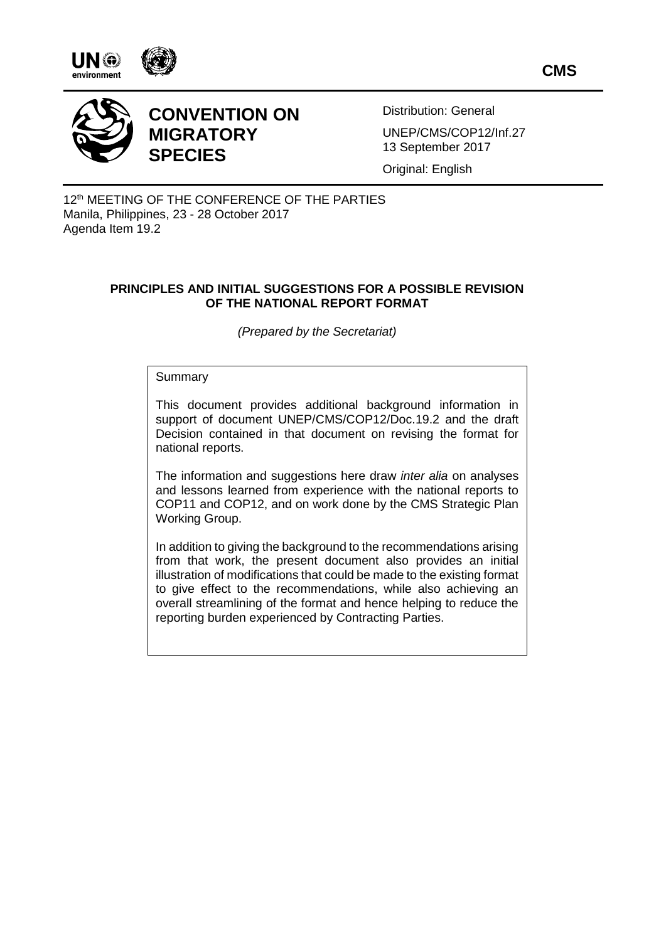







# **CONVENTION ON MIGRATORY SPECIES**

Distribution: General UNEP/CMS/COP12/Inf.27 13 September 2017

Original: English

12<sup>th</sup> MEETING OF THE CONFERENCE OF THE PARTIES Manila, Philippines, 23 - 28 October 2017 Agenda Item 19.2

# **PRINCIPLES AND INITIAL SUGGESTIONS FOR A POSSIBLE REVISION OF THE NATIONAL REPORT FORMAT**

*(Prepared by the Secretariat)*

## Summary

This document provides additional background information in support of document UNEP/CMS/COP12/Doc.19.2 and the draft Decision contained in that document on revising the format for national reports.

The information and suggestions here draw *inter alia* on analyses and lessons learned from experience with the national reports to COP11 and COP12, and on work done by the CMS Strategic Plan Working Group.

In addition to giving the background to the recommendations arising from that work, the present document also provides an initial illustration of modifications that could be made to the existing format to give effect to the recommendations, while also achieving an overall streamlining of the format and hence helping to reduce the reporting burden experienced by Contracting Parties.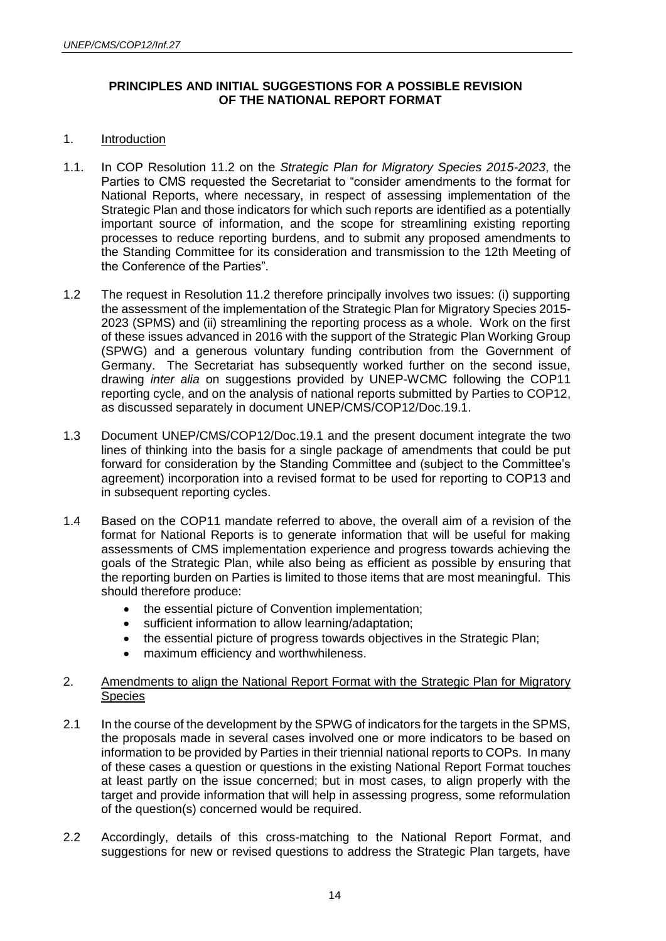# **PRINCIPLES AND INITIAL SUGGESTIONS FOR A POSSIBLE REVISION OF THE NATIONAL REPORT FORMAT**

## 1. Introduction

- 1.1. In COP Resolution 11.2 on the *Strategic Plan for Migratory Species 2015-2023*, the Parties to CMS requested the Secretariat to "consider amendments to the format for National Reports, where necessary, in respect of assessing implementation of the Strategic Plan and those indicators for which such reports are identified as a potentially important source of information, and the scope for streamlining existing reporting processes to reduce reporting burdens, and to submit any proposed amendments to the Standing Committee for its consideration and transmission to the 12th Meeting of the Conference of the Parties".
- 1.2 The request in Resolution 11.2 therefore principally involves two issues: (i) supporting the assessment of the implementation of the Strategic Plan for Migratory Species 2015- 2023 (SPMS) and (ii) streamlining the reporting process as a whole. Work on the first of these issues advanced in 2016 with the support of the Strategic Plan Working Group (SPWG) and a generous voluntary funding contribution from the Government of Germany. The Secretariat has subsequently worked further on the second issue, drawing *inter alia* on suggestions provided by UNEP-WCMC following the COP11 reporting cycle, and on the analysis of national reports submitted by Parties to COP12, as discussed separately in document UNEP/CMS/COP12/Doc.19.1.
- 1.3 Document UNEP/CMS/COP12/Doc.19.1 and the present document integrate the two lines of thinking into the basis for a single package of amendments that could be put forward for consideration by the Standing Committee and (subject to the Committee's agreement) incorporation into a revised format to be used for reporting to COP13 and in subsequent reporting cycles.
- 1.4 Based on the COP11 mandate referred to above, the overall aim of a revision of the format for National Reports is to generate information that will be useful for making assessments of CMS implementation experience and progress towards achieving the goals of the Strategic Plan, while also being as efficient as possible by ensuring that the reporting burden on Parties is limited to those items that are most meaningful. This should therefore produce:
	- the essential picture of Convention implementation;
	- sufficient information to allow learning/adaptation;
	- the essential picture of progress towards objectives in the Strategic Plan:
	- maximum efficiency and worthwhileness.

# 2. Amendments to align the National Report Format with the Strategic Plan for Migratory Species

- 2.1 In the course of the development by the SPWG of indicators for the targets in the SPMS, the proposals made in several cases involved one or more indicators to be based on information to be provided by Parties in their triennial national reports to COPs. In many of these cases a question or questions in the existing National Report Format touches at least partly on the issue concerned; but in most cases, to align properly with the target and provide information that will help in assessing progress, some reformulation of the question(s) concerned would be required.
- 2.2 Accordingly, details of this cross-matching to the National Report Format, and suggestions for new or revised questions to address the Strategic Plan targets, have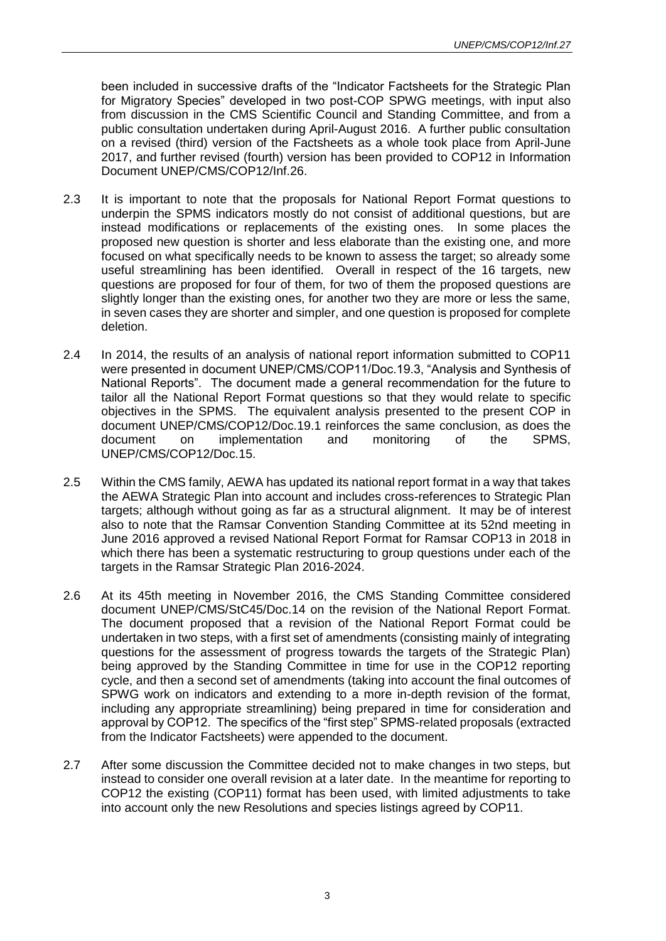been included in successive drafts of the "Indicator Factsheets for the Strategic Plan for Migratory Species" developed in two post-COP SPWG meetings, with input also from discussion in the CMS Scientific Council and Standing Committee, and from a public consultation undertaken during April-August 2016. A further public consultation on a revised (third) version of the Factsheets as a whole took place from April-June 2017, and further revised (fourth) version has been provided to COP12 in Information Document UNEP/CMS/COP12/Inf.26.

- 2.3 It is important to note that the proposals for National Report Format questions to underpin the SPMS indicators mostly do not consist of additional questions, but are instead modifications or replacements of the existing ones. In some places the proposed new question is shorter and less elaborate than the existing one, and more focused on what specifically needs to be known to assess the target; so already some useful streamlining has been identified. Overall in respect of the 16 targets, new questions are proposed for four of them, for two of them the proposed questions are slightly longer than the existing ones, for another two they are more or less the same, in seven cases they are shorter and simpler, and one question is proposed for complete deletion.
- 2.4 In 2014, the results of an analysis of national report information submitted to COP11 were presented in document UNEP/CMS/COP11/Doc.19.3, "Analysis and Synthesis of National Reports". The document made a general recommendation for the future to tailor all the National Report Format questions so that they would relate to specific objectives in the SPMS. The equivalent analysis presented to the present COP in document UNEP/CMS/COP12/Doc.19.1 reinforces the same conclusion, as does the document on implementation and monitoring of the SPMS, UNEP/CMS/COP12/Doc.15.
- 2.5 Within the CMS family, AEWA has updated its national report format in a way that takes the AEWA Strategic Plan into account and includes cross-references to Strategic Plan targets; although without going as far as a structural alignment. It may be of interest also to note that the Ramsar Convention Standing Committee at its 52nd meeting in June 2016 approved a revised National Report Format for Ramsar COP13 in 2018 in which there has been a systematic restructuring to group questions under each of the targets in the Ramsar Strategic Plan 2016-2024.
- 2.6 At its 45th meeting in November 2016, the CMS Standing Committee considered document UNEP/CMS/StC45/Doc.14 on the revision of the National Report Format. The document proposed that a revision of the National Report Format could be undertaken in two steps, with a first set of amendments (consisting mainly of integrating questions for the assessment of progress towards the targets of the Strategic Plan) being approved by the Standing Committee in time for use in the COP12 reporting cycle, and then a second set of amendments (taking into account the final outcomes of SPWG work on indicators and extending to a more in-depth revision of the format, including any appropriate streamlining) being prepared in time for consideration and approval by COP12. The specifics of the "first step" SPMS-related proposals (extracted from the Indicator Factsheets) were appended to the document.
- 2.7 After some discussion the Committee decided not to make changes in two steps, but instead to consider one overall revision at a later date. In the meantime for reporting to COP12 the existing (COP11) format has been used, with limited adjustments to take into account only the new Resolutions and species listings agreed by COP11.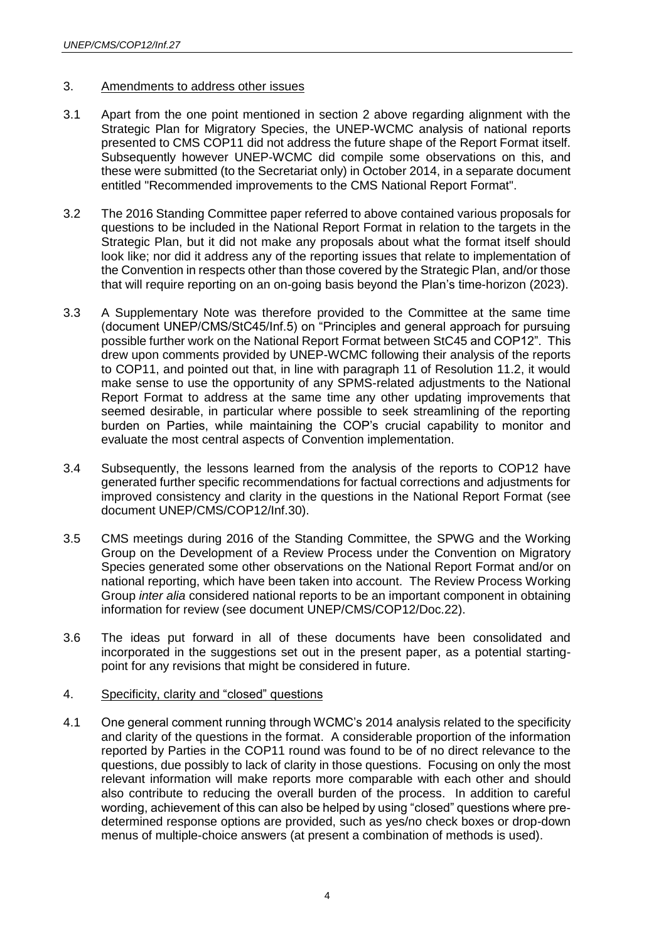#### 3. Amendments to address other issues

- 3.1 Apart from the one point mentioned in section 2 above regarding alignment with the Strategic Plan for Migratory Species, the UNEP-WCMC analysis of national reports presented to CMS COP11 did not address the future shape of the Report Format itself. Subsequently however UNEP-WCMC did compile some observations on this, and these were submitted (to the Secretariat only) in October 2014, in a separate document entitled "Recommended improvements to the CMS National Report Format".
- 3.2 The 2016 Standing Committee paper referred to above contained various proposals for questions to be included in the National Report Format in relation to the targets in the Strategic Plan, but it did not make any proposals about what the format itself should look like; nor did it address any of the reporting issues that relate to implementation of the Convention in respects other than those covered by the Strategic Plan, and/or those that will require reporting on an on-going basis beyond the Plan's time-horizon (2023).
- 3.3 A Supplementary Note was therefore provided to the Committee at the same time (document UNEP/CMS/StC45/Inf.5) on "Principles and general approach for pursuing possible further work on the National Report Format between StC45 and COP12". This drew upon comments provided by UNEP-WCMC following their analysis of the reports to COP11, and pointed out that, in line with paragraph 11 of Resolution 11.2, it would make sense to use the opportunity of any SPMS-related adjustments to the National Report Format to address at the same time any other updating improvements that seemed desirable, in particular where possible to seek streamlining of the reporting burden on Parties, while maintaining the COP's crucial capability to monitor and evaluate the most central aspects of Convention implementation.
- 3.4 Subsequently, the lessons learned from the analysis of the reports to COP12 have generated further specific recommendations for factual corrections and adjustments for improved consistency and clarity in the questions in the National Report Format (see document UNEP/CMS/COP12/Inf.30).
- 3.5 CMS meetings during 2016 of the Standing Committee, the SPWG and the Working Group on the Development of a Review Process under the Convention on Migratory Species generated some other observations on the National Report Format and/or on national reporting, which have been taken into account. The Review Process Working Group *inter alia* considered national reports to be an important component in obtaining information for review (see document UNEP/CMS/COP12/Doc.22).
- 3.6 The ideas put forward in all of these documents have been consolidated and incorporated in the suggestions set out in the present paper, as a potential startingpoint for any revisions that might be considered in future.

#### 4. Specificity, clarity and "closed" questions

4.1 One general comment running through WCMC's 2014 analysis related to the specificity and clarity of the questions in the format. A considerable proportion of the information reported by Parties in the COP11 round was found to be of no direct relevance to the questions, due possibly to lack of clarity in those questions. Focusing on only the most relevant information will make reports more comparable with each other and should also contribute to reducing the overall burden of the process. In addition to careful wording, achievement of this can also be helped by using "closed" questions where predetermined response options are provided, such as yes/no check boxes or drop-down menus of multiple-choice answers (at present a combination of methods is used).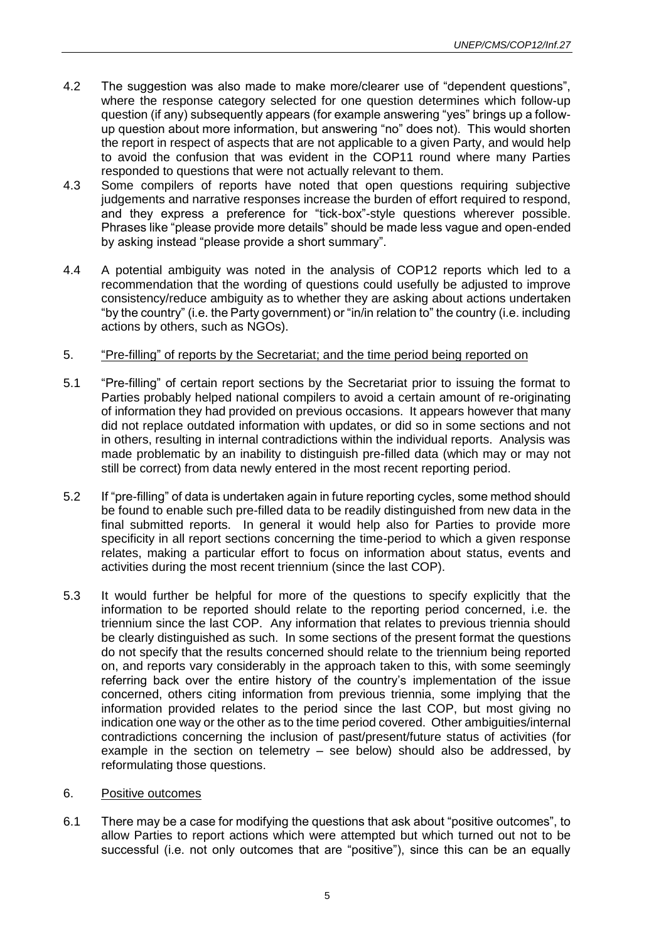- 4.2 The suggestion was also made to make more/clearer use of "dependent questions", where the response category selected for one question determines which follow-up question (if any) subsequently appears (for example answering "yes" brings up a followup question about more information, but answering "no" does not). This would shorten the report in respect of aspects that are not applicable to a given Party, and would help to avoid the confusion that was evident in the COP11 round where many Parties responded to questions that were not actually relevant to them.
- 4.3 Some compilers of reports have noted that open questions requiring subjective judgements and narrative responses increase the burden of effort required to respond, and they express a preference for "tick-box"-style questions wherever possible. Phrases like "please provide more details" should be made less vague and open-ended by asking instead "please provide a short summary".
- 4.4 A potential ambiguity was noted in the analysis of COP12 reports which led to a recommendation that the wording of questions could usefully be adjusted to improve consistency/reduce ambiguity as to whether they are asking about actions undertaken "by the country" (i.e. the Party government) or "in/in relation to" the country (i.e. including actions by others, such as NGOs).

## 5. "Pre-filling" of reports by the Secretariat; and the time period being reported on

- 5.1 "Pre-filling" of certain report sections by the Secretariat prior to issuing the format to Parties probably helped national compilers to avoid a certain amount of re-originating of information they had provided on previous occasions. It appears however that many did not replace outdated information with updates, or did so in some sections and not in others, resulting in internal contradictions within the individual reports. Analysis was made problematic by an inability to distinguish pre-filled data (which may or may not still be correct) from data newly entered in the most recent reporting period.
- 5.2 If "pre-filling" of data is undertaken again in future reporting cycles, some method should be found to enable such pre-filled data to be readily distinguished from new data in the final submitted reports. In general it would help also for Parties to provide more specificity in all report sections concerning the time-period to which a given response relates, making a particular effort to focus on information about status, events and activities during the most recent triennium (since the last COP).
- 5.3 It would further be helpful for more of the questions to specify explicitly that the information to be reported should relate to the reporting period concerned, i.e. the triennium since the last COP. Any information that relates to previous triennia should be clearly distinguished as such. In some sections of the present format the questions do not specify that the results concerned should relate to the triennium being reported on, and reports vary considerably in the approach taken to this, with some seemingly referring back over the entire history of the country's implementation of the issue concerned, others citing information from previous triennia, some implying that the information provided relates to the period since the last COP, but most giving no indication one way or the other as to the time period covered. Other ambiguities/internal contradictions concerning the inclusion of past/present/future status of activities (for example in the section on telemetry – see below) should also be addressed, by reformulating those questions.

#### 6. Positive outcomes

6.1 There may be a case for modifying the questions that ask about "positive outcomes", to allow Parties to report actions which were attempted but which turned out not to be successful (i.e. not only outcomes that are "positive"), since this can be an equally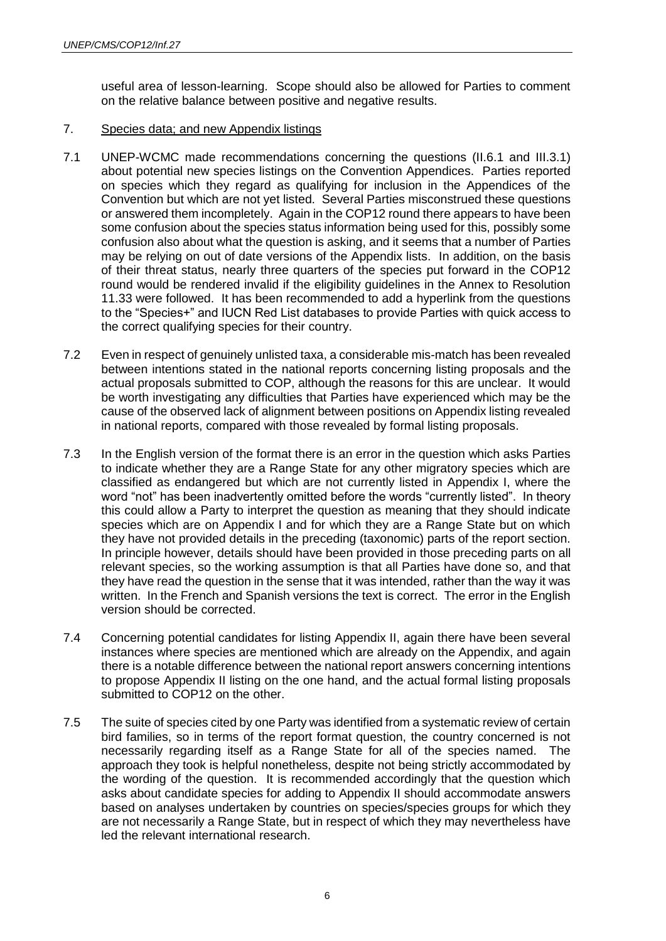useful area of lesson-learning. Scope should also be allowed for Parties to comment on the relative balance between positive and negative results.

# 7. Species data; and new Appendix listings

- 7.1 UNEP-WCMC made recommendations concerning the questions (II.6.1 and III.3.1) about potential new species listings on the Convention Appendices. Parties reported on species which they regard as qualifying for inclusion in the Appendices of the Convention but which are not yet listed. Several Parties misconstrued these questions or answered them incompletely. Again in the COP12 round there appears to have been some confusion about the species status information being used for this, possibly some confusion also about what the question is asking, and it seems that a number of Parties may be relying on out of date versions of the Appendix lists. In addition, on the basis of their threat status, nearly three quarters of the species put forward in the COP12 round would be rendered invalid if the eligibility guidelines in the Annex to Resolution 11.33 were followed. It has been recommended to add a hyperlink from the questions to the "Species+" and IUCN Red List databases to provide Parties with quick access to the correct qualifying species for their country.
- 7.2 Even in respect of genuinely unlisted taxa, a considerable mis-match has been revealed between intentions stated in the national reports concerning listing proposals and the actual proposals submitted to COP, although the reasons for this are unclear. It would be worth investigating any difficulties that Parties have experienced which may be the cause of the observed lack of alignment between positions on Appendix listing revealed in national reports, compared with those revealed by formal listing proposals.
- 7.3 In the English version of the format there is an error in the question which asks Parties to indicate whether they are a Range State for any other migratory species which are classified as endangered but which are not currently listed in Appendix I, where the word "not" has been inadvertently omitted before the words "currently listed". In theory this could allow a Party to interpret the question as meaning that they should indicate species which are on Appendix I and for which they are a Range State but on which they have not provided details in the preceding (taxonomic) parts of the report section. In principle however, details should have been provided in those preceding parts on all relevant species, so the working assumption is that all Parties have done so, and that they have read the question in the sense that it was intended, rather than the way it was written. In the French and Spanish versions the text is correct. The error in the English version should be corrected.
- 7.4 Concerning potential candidates for listing Appendix II, again there have been several instances where species are mentioned which are already on the Appendix, and again there is a notable difference between the national report answers concerning intentions to propose Appendix II listing on the one hand, and the actual formal listing proposals submitted to COP12 on the other.
- 7.5 The suite of species cited by one Party was identified from a systematic review of certain bird families, so in terms of the report format question, the country concerned is not necessarily regarding itself as a Range State for all of the species named. The approach they took is helpful nonetheless, despite not being strictly accommodated by the wording of the question. It is recommended accordingly that the question which asks about candidate species for adding to Appendix II should accommodate answers based on analyses undertaken by countries on species/species groups for which they are not necessarily a Range State, but in respect of which they may nevertheless have led the relevant international research.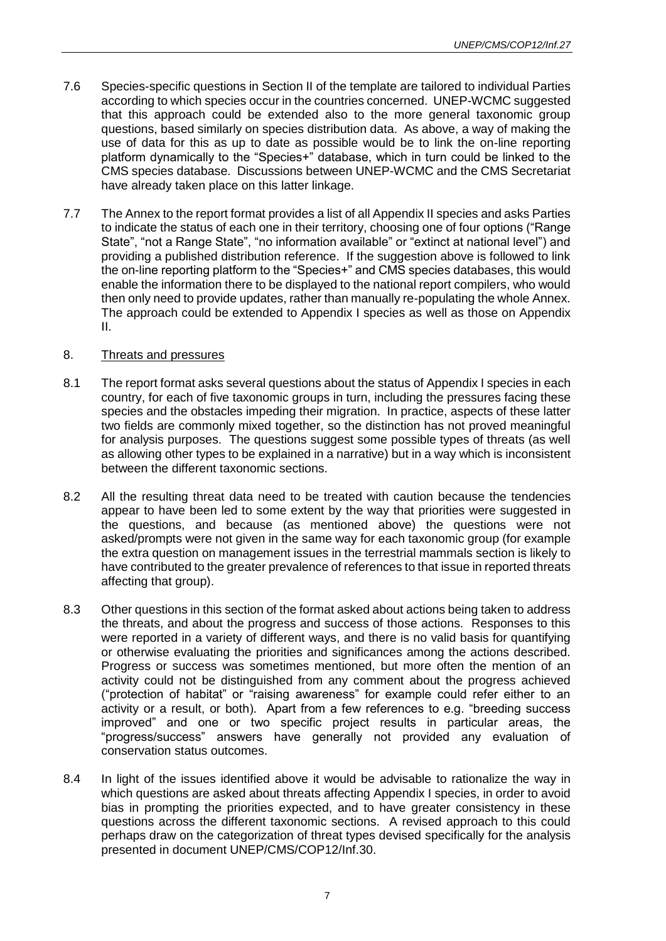- 7.6 Species-specific questions in Section II of the template are tailored to individual Parties according to which species occur in the countries concerned. UNEP-WCMC suggested that this approach could be extended also to the more general taxonomic group questions, based similarly on species distribution data. As above, a way of making the use of data for this as up to date as possible would be to link the on-line reporting platform dynamically to the "Species+" database, which in turn could be linked to the CMS species database. Discussions between UNEP-WCMC and the CMS Secretariat have already taken place on this latter linkage.
- 7.7 The Annex to the report format provides a list of all Appendix II species and asks Parties to indicate the status of each one in their territory, choosing one of four options ("Range State", "not a Range State", "no information available" or "extinct at national level") and providing a published distribution reference. If the suggestion above is followed to link the on-line reporting platform to the "Species+" and CMS species databases, this would enable the information there to be displayed to the national report compilers, who would then only need to provide updates, rather than manually re-populating the whole Annex. The approach could be extended to Appendix I species as well as those on Appendix II.

## 8. Threats and pressures

- 8.1 The report format asks several questions about the status of Appendix I species in each country, for each of five taxonomic groups in turn, including the pressures facing these species and the obstacles impeding their migration. In practice, aspects of these latter two fields are commonly mixed together, so the distinction has not proved meaningful for analysis purposes. The questions suggest some possible types of threats (as well as allowing other types to be explained in a narrative) but in a way which is inconsistent between the different taxonomic sections.
- 8.2 All the resulting threat data need to be treated with caution because the tendencies appear to have been led to some extent by the way that priorities were suggested in the questions, and because (as mentioned above) the questions were not asked/prompts were not given in the same way for each taxonomic group (for example the extra question on management issues in the terrestrial mammals section is likely to have contributed to the greater prevalence of references to that issue in reported threats affecting that group).
- 8.3 Other questions in this section of the format asked about actions being taken to address the threats, and about the progress and success of those actions. Responses to this were reported in a variety of different ways, and there is no valid basis for quantifying or otherwise evaluating the priorities and significances among the actions described. Progress or success was sometimes mentioned, but more often the mention of an activity could not be distinguished from any comment about the progress achieved ("protection of habitat" or "raising awareness" for example could refer either to an activity or a result, or both). Apart from a few references to e.g. "breeding success improved" and one or two specific project results in particular areas, the "progress/success" answers have generally not provided any evaluation of conservation status outcomes.
- 8.4 In light of the issues identified above it would be advisable to rationalize the way in which questions are asked about threats affecting Appendix I species, in order to avoid bias in prompting the priorities expected, and to have greater consistency in these questions across the different taxonomic sections. A revised approach to this could perhaps draw on the categorization of threat types devised specifically for the analysis presented in document UNEP/CMS/COP12/Inf.30.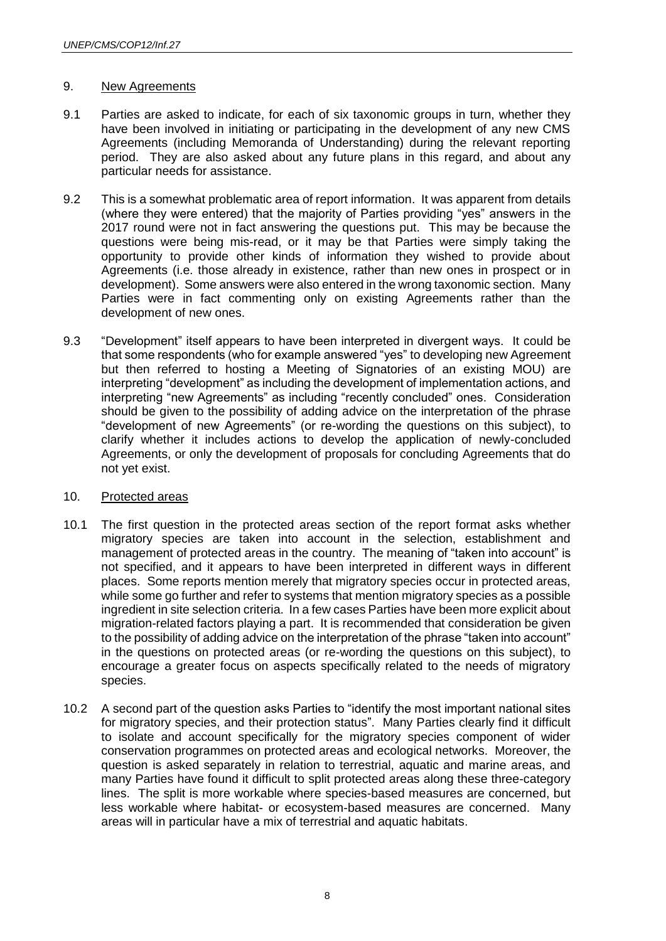#### 9. New Agreements

- 9.1 Parties are asked to indicate, for each of six taxonomic groups in turn, whether they have been involved in initiating or participating in the development of any new CMS Agreements (including Memoranda of Understanding) during the relevant reporting period. They are also asked about any future plans in this regard, and about any particular needs for assistance.
- 9.2 This is a somewhat problematic area of report information. It was apparent from details (where they were entered) that the majority of Parties providing "yes" answers in the 2017 round were not in fact answering the questions put. This may be because the questions were being mis-read, or it may be that Parties were simply taking the opportunity to provide other kinds of information they wished to provide about Agreements (i.e. those already in existence, rather than new ones in prospect or in development). Some answers were also entered in the wrong taxonomic section. Many Parties were in fact commenting only on existing Agreements rather than the development of new ones.
- 9.3 "Development" itself appears to have been interpreted in divergent ways. It could be that some respondents (who for example answered "yes" to developing new Agreement but then referred to hosting a Meeting of Signatories of an existing MOU) are interpreting "development" as including the development of implementation actions, and interpreting "new Agreements" as including "recently concluded" ones. Consideration should be given to the possibility of adding advice on the interpretation of the phrase "development of new Agreements" (or re-wording the questions on this subject), to clarify whether it includes actions to develop the application of newly-concluded Agreements, or only the development of proposals for concluding Agreements that do not yet exist.

# 10. Protected areas

- 10.1 The first question in the protected areas section of the report format asks whether migratory species are taken into account in the selection, establishment and management of protected areas in the country. The meaning of "taken into account" is not specified, and it appears to have been interpreted in different ways in different places. Some reports mention merely that migratory species occur in protected areas, while some go further and refer to systems that mention migratory species as a possible ingredient in site selection criteria. In a few cases Parties have been more explicit about migration-related factors playing a part. It is recommended that consideration be given to the possibility of adding advice on the interpretation of the phrase "taken into account" in the questions on protected areas (or re-wording the questions on this subject), to encourage a greater focus on aspects specifically related to the needs of migratory species.
- 10.2 A second part of the question asks Parties to "identify the most important national sites for migratory species, and their protection status". Many Parties clearly find it difficult to isolate and account specifically for the migratory species component of wider conservation programmes on protected areas and ecological networks. Moreover, the question is asked separately in relation to terrestrial, aquatic and marine areas, and many Parties have found it difficult to split protected areas along these three-category lines. The split is more workable where species-based measures are concerned, but less workable where habitat- or ecosystem-based measures are concerned. Many areas will in particular have a mix of terrestrial and aquatic habitats.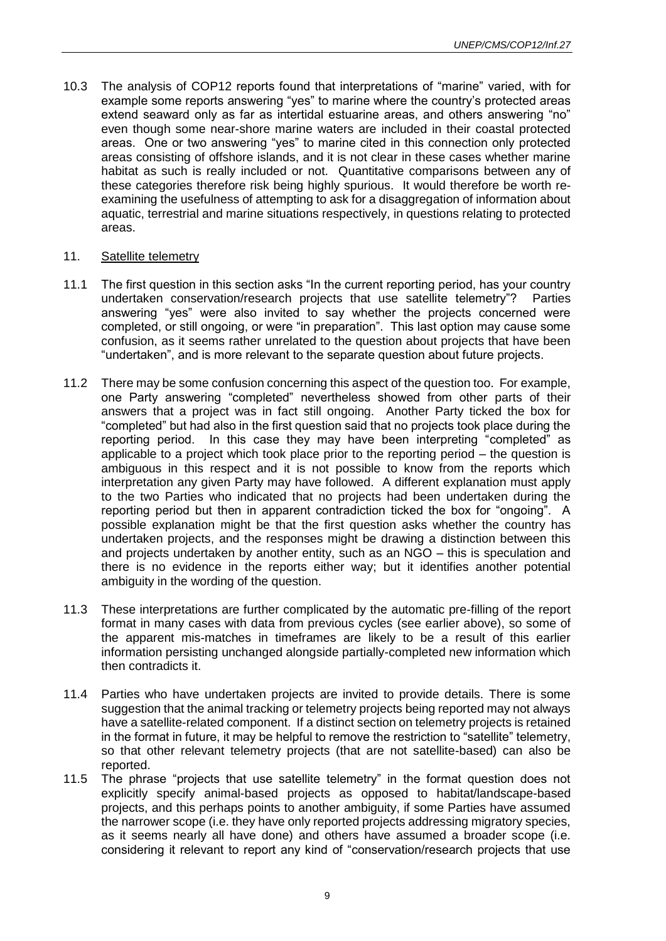10.3 The analysis of COP12 reports found that interpretations of "marine" varied, with for example some reports answering "yes" to marine where the country's protected areas extend seaward only as far as intertidal estuarine areas, and others answering "no" even though some near-shore marine waters are included in their coastal protected areas. One or two answering "yes" to marine cited in this connection only protected areas consisting of offshore islands, and it is not clear in these cases whether marine habitat as such is really included or not. Quantitative comparisons between any of these categories therefore risk being highly spurious. It would therefore be worth reexamining the usefulness of attempting to ask for a disaggregation of information about aquatic, terrestrial and marine situations respectively, in questions relating to protected areas.

## 11. Satellite telemetry

- 11.1 The first question in this section asks "In the current reporting period, has your country undertaken conservation/research projects that use satellite telemetry"? Parties answering "yes" were also invited to say whether the projects concerned were completed, or still ongoing, or were "in preparation". This last option may cause some confusion, as it seems rather unrelated to the question about projects that have been "undertaken", and is more relevant to the separate question about future projects.
- 11.2 There may be some confusion concerning this aspect of the question too. For example, one Party answering "completed" nevertheless showed from other parts of their answers that a project was in fact still ongoing. Another Party ticked the box for "completed" but had also in the first question said that no projects took place during the reporting period. In this case they may have been interpreting "completed" as applicable to a project which took place prior to the reporting period – the question is ambiguous in this respect and it is not possible to know from the reports which interpretation any given Party may have followed. A different explanation must apply to the two Parties who indicated that no projects had been undertaken during the reporting period but then in apparent contradiction ticked the box for "ongoing". A possible explanation might be that the first question asks whether the country has undertaken projects, and the responses might be drawing a distinction between this and projects undertaken by another entity, such as an NGO – this is speculation and there is no evidence in the reports either way; but it identifies another potential ambiguity in the wording of the question.
- 11.3 These interpretations are further complicated by the automatic pre-filling of the report format in many cases with data from previous cycles (see earlier above), so some of the apparent mis-matches in timeframes are likely to be a result of this earlier information persisting unchanged alongside partially-completed new information which then contradicts it.
- 11.4 Parties who have undertaken projects are invited to provide details. There is some suggestion that the animal tracking or telemetry projects being reported may not always have a satellite-related component. If a distinct section on telemetry projects is retained in the format in future, it may be helpful to remove the restriction to "satellite" telemetry, so that other relevant telemetry projects (that are not satellite-based) can also be reported.
- 11.5 The phrase "projects that use satellite telemetry" in the format question does not explicitly specify animal-based projects as opposed to habitat/landscape-based projects, and this perhaps points to another ambiguity, if some Parties have assumed the narrower scope (i.e. they have only reported projects addressing migratory species, as it seems nearly all have done) and others have assumed a broader scope (i.e. considering it relevant to report any kind of "conservation/research projects that use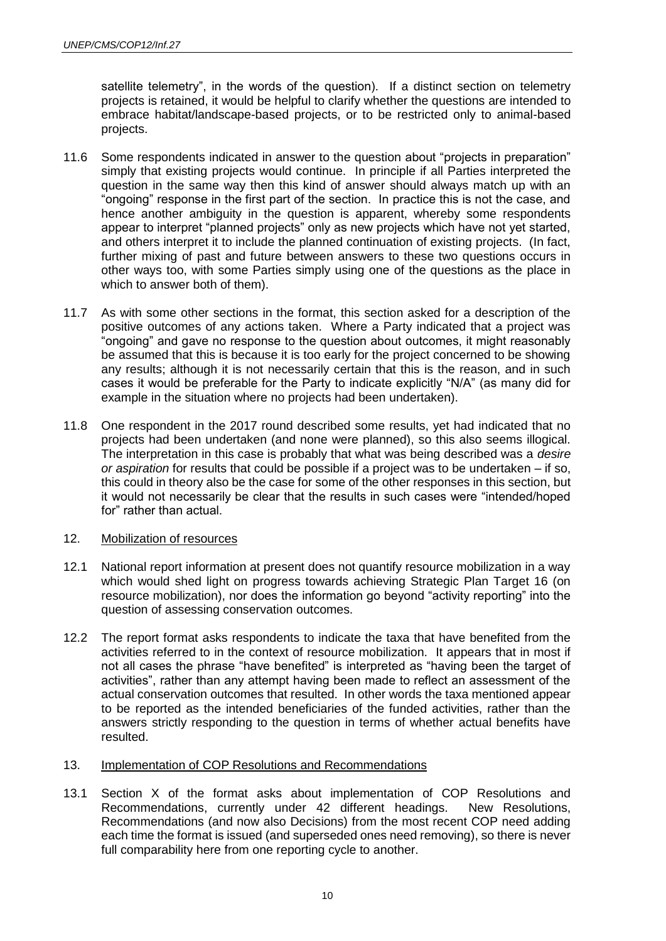satellite telemetry", in the words of the question). If a distinct section on telemetry projects is retained, it would be helpful to clarify whether the questions are intended to embrace habitat/landscape-based projects, or to be restricted only to animal-based projects.

- 11.6 Some respondents indicated in answer to the question about "projects in preparation" simply that existing projects would continue. In principle if all Parties interpreted the question in the same way then this kind of answer should always match up with an "ongoing" response in the first part of the section. In practice this is not the case, and hence another ambiguity in the question is apparent, whereby some respondents appear to interpret "planned projects" only as new projects which have not yet started, and others interpret it to include the planned continuation of existing projects. (In fact, further mixing of past and future between answers to these two questions occurs in other ways too, with some Parties simply using one of the questions as the place in which to answer both of them).
- 11.7 As with some other sections in the format, this section asked for a description of the positive outcomes of any actions taken. Where a Party indicated that a project was "ongoing" and gave no response to the question about outcomes, it might reasonably be assumed that this is because it is too early for the project concerned to be showing any results; although it is not necessarily certain that this is the reason, and in such cases it would be preferable for the Party to indicate explicitly "N/A" (as many did for example in the situation where no projects had been undertaken).
- 11.8 One respondent in the 2017 round described some results, yet had indicated that no projects had been undertaken (and none were planned), so this also seems illogical. The interpretation in this case is probably that what was being described was a *desire or aspiration* for results that could be possible if a project was to be undertaken – if so, this could in theory also be the case for some of the other responses in this section, but it would not necessarily be clear that the results in such cases were "intended/hoped for" rather than actual.

#### 12. Mobilization of resources

- 12.1 National report information at present does not quantify resource mobilization in a way which would shed light on progress towards achieving Strategic Plan Target 16 (on resource mobilization), nor does the information go beyond "activity reporting" into the question of assessing conservation outcomes.
- 12.2 The report format asks respondents to indicate the taxa that have benefited from the activities referred to in the context of resource mobilization. It appears that in most if not all cases the phrase "have benefited" is interpreted as "having been the target of activities", rather than any attempt having been made to reflect an assessment of the actual conservation outcomes that resulted. In other words the taxa mentioned appear to be reported as the intended beneficiaries of the funded activities, rather than the answers strictly responding to the question in terms of whether actual benefits have resulted.

#### 13. Implementation of COP Resolutions and Recommendations

13.1 Section X of the format asks about implementation of COP Resolutions and Recommendations, currently under 42 different headings. New Resolutions, Recommendations (and now also Decisions) from the most recent COP need adding each time the format is issued (and superseded ones need removing), so there is never full comparability here from one reporting cycle to another.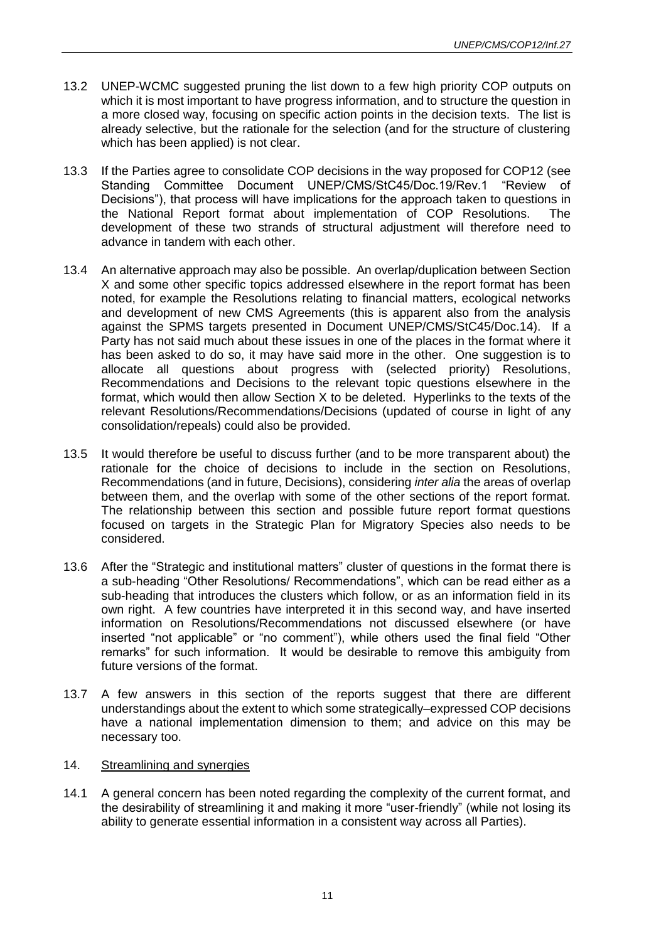- 13.2 UNEP-WCMC suggested pruning the list down to a few high priority COP outputs on which it is most important to have progress information, and to structure the question in a more closed way, focusing on specific action points in the decision texts. The list is already selective, but the rationale for the selection (and for the structure of clustering which has been applied) is not clear.
- 13.3 If the Parties agree to consolidate COP decisions in the way proposed for COP12 (see Standing Committee Document UNEP/CMS/StC45/Doc.19/Rev.1 "Review of Decisions"), that process will have implications for the approach taken to questions in the National Report format about implementation of COP Resolutions. The development of these two strands of structural adjustment will therefore need to advance in tandem with each other.
- 13.4 An alternative approach may also be possible. An overlap/duplication between Section X and some other specific topics addressed elsewhere in the report format has been noted, for example the Resolutions relating to financial matters, ecological networks and development of new CMS Agreements (this is apparent also from the analysis against the SPMS targets presented in Document UNEP/CMS/StC45/Doc.14). If a Party has not said much about these issues in one of the places in the format where it has been asked to do so, it may have said more in the other. One suggestion is to allocate all questions about progress with (selected priority) Resolutions, Recommendations and Decisions to the relevant topic questions elsewhere in the format, which would then allow Section X to be deleted. Hyperlinks to the texts of the relevant Resolutions/Recommendations/Decisions (updated of course in light of any consolidation/repeals) could also be provided.
- 13.5 It would therefore be useful to discuss further (and to be more transparent about) the rationale for the choice of decisions to include in the section on Resolutions, Recommendations (and in future, Decisions), considering *inter alia* the areas of overlap between them, and the overlap with some of the other sections of the report format. The relationship between this section and possible future report format questions focused on targets in the Strategic Plan for Migratory Species also needs to be considered.
- 13.6 After the "Strategic and institutional matters" cluster of questions in the format there is a sub-heading "Other Resolutions/ Recommendations", which can be read either as a sub-heading that introduces the clusters which follow, or as an information field in its own right. A few countries have interpreted it in this second way, and have inserted information on Resolutions/Recommendations not discussed elsewhere (or have inserted "not applicable" or "no comment"), while others used the final field "Other remarks" for such information. It would be desirable to remove this ambiguity from future versions of the format.
- 13.7 A few answers in this section of the reports suggest that there are different understandings about the extent to which some strategically–expressed COP decisions have a national implementation dimension to them; and advice on this may be necessary too.

#### 14. Streamlining and synergies

14.1 A general concern has been noted regarding the complexity of the current format, and the desirability of streamlining it and making it more "user-friendly" (while not losing its ability to generate essential information in a consistent way across all Parties).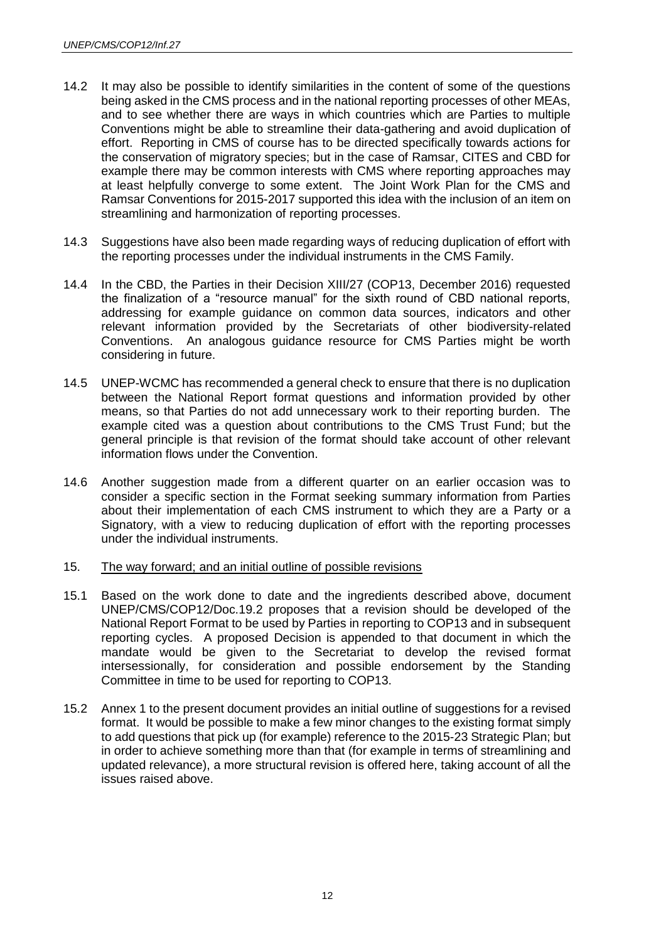- 14.2 It may also be possible to identify similarities in the content of some of the questions being asked in the CMS process and in the national reporting processes of other MEAs, and to see whether there are ways in which countries which are Parties to multiple Conventions might be able to streamline their data-gathering and avoid duplication of effort. Reporting in CMS of course has to be directed specifically towards actions for the conservation of migratory species; but in the case of Ramsar, CITES and CBD for example there may be common interests with CMS where reporting approaches may at least helpfully converge to some extent. The Joint Work Plan for the CMS and Ramsar Conventions for 2015-2017 supported this idea with the inclusion of an item on streamlining and harmonization of reporting processes.
- 14.3 Suggestions have also been made regarding ways of reducing duplication of effort with the reporting processes under the individual instruments in the CMS Family.
- 14.4 In the CBD, the Parties in their Decision XIII/27 (COP13, December 2016) requested the finalization of a "resource manual" for the sixth round of CBD national reports, addressing for example guidance on common data sources, indicators and other relevant information provided by the Secretariats of other biodiversity-related Conventions. An analogous guidance resource for CMS Parties might be worth considering in future.
- 14.5 UNEP-WCMC has recommended a general check to ensure that there is no duplication between the National Report format questions and information provided by other means, so that Parties do not add unnecessary work to their reporting burden. The example cited was a question about contributions to the CMS Trust Fund; but the general principle is that revision of the format should take account of other relevant information flows under the Convention.
- 14.6 Another suggestion made from a different quarter on an earlier occasion was to consider a specific section in the Format seeking summary information from Parties about their implementation of each CMS instrument to which they are a Party or a Signatory, with a view to reducing duplication of effort with the reporting processes under the individual instruments.
- 15. The way forward; and an initial outline of possible revisions
- 15.1 Based on the work done to date and the ingredients described above, document UNEP/CMS/COP12/Doc.19.2 proposes that a revision should be developed of the National Report Format to be used by Parties in reporting to COP13 and in subsequent reporting cycles. A proposed Decision is appended to that document in which the mandate would be given to the Secretariat to develop the revised format intersessionally, for consideration and possible endorsement by the Standing Committee in time to be used for reporting to COP13.
- 15.2 Annex 1 to the present document provides an initial outline of suggestions for a revised format. It would be possible to make a few minor changes to the existing format simply to add questions that pick up (for example) reference to the 2015-23 Strategic Plan; but in order to achieve something more than that (for example in terms of streamlining and updated relevance), a more structural revision is offered here, taking account of all the issues raised above.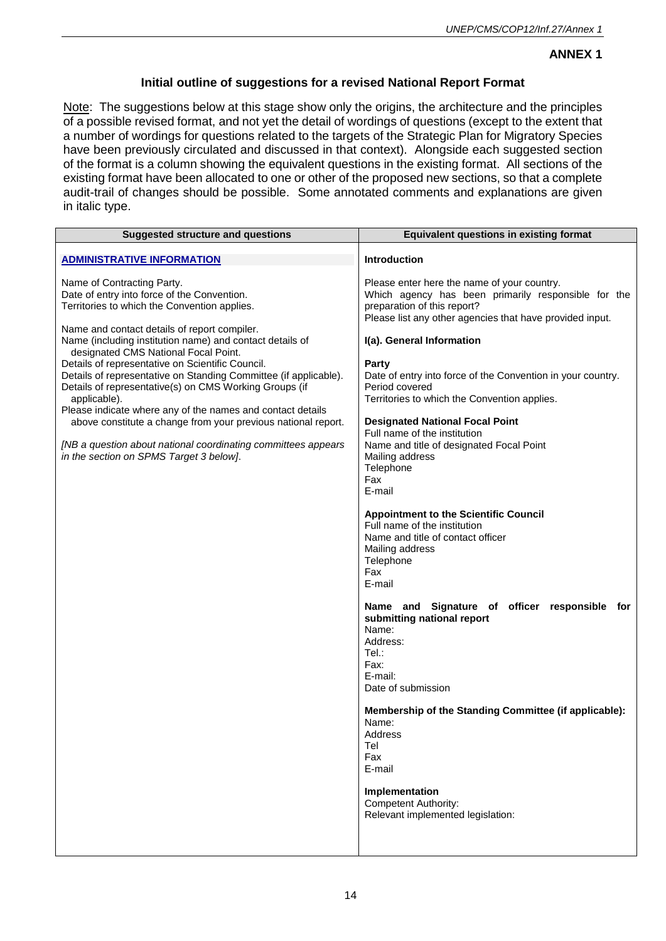# **ANNEX 1**

# **Initial outline of suggestions for a revised National Report Format**

Note: The suggestions below at this stage show only the origins, the architecture and the principles of a possible revised format, and not yet the detail of wordings of questions (except to the extent that a number of wordings for questions related to the targets of the Strategic Plan for Migratory Species have been previously circulated and discussed in that context). Alongside each suggested section of the format is a column showing the equivalent questions in the existing format. All sections of the existing format have been allocated to one or other of the proposed new sections, so that a complete audit-trail of changes should be possible. Some annotated comments and explanations are given in italic type.

| <b>Suggested structure and questions</b>                                                                                                                                                                                                                                                                                                                                                                                                                                                                                                                                                      | <b>Equivalent questions in existing format</b>                                                                                                                                                                                                                                                                                                                                                                                                                                                                                                                                                                                                                                                                                                                                                                                                                   |
|-----------------------------------------------------------------------------------------------------------------------------------------------------------------------------------------------------------------------------------------------------------------------------------------------------------------------------------------------------------------------------------------------------------------------------------------------------------------------------------------------------------------------------------------------------------------------------------------------|------------------------------------------------------------------------------------------------------------------------------------------------------------------------------------------------------------------------------------------------------------------------------------------------------------------------------------------------------------------------------------------------------------------------------------------------------------------------------------------------------------------------------------------------------------------------------------------------------------------------------------------------------------------------------------------------------------------------------------------------------------------------------------------------------------------------------------------------------------------|
| <b>ADMINISTRATIVE INFORMATION</b>                                                                                                                                                                                                                                                                                                                                                                                                                                                                                                                                                             | <b>Introduction</b>                                                                                                                                                                                                                                                                                                                                                                                                                                                                                                                                                                                                                                                                                                                                                                                                                                              |
| Name of Contracting Party.<br>Date of entry into force of the Convention.<br>Territories to which the Convention applies.                                                                                                                                                                                                                                                                                                                                                                                                                                                                     | Please enter here the name of your country.<br>Which agency has been primarily responsible for the<br>preparation of this report?<br>Please list any other agencies that have provided input.                                                                                                                                                                                                                                                                                                                                                                                                                                                                                                                                                                                                                                                                    |
| Name and contact details of report compiler.<br>Name (including institution name) and contact details of<br>designated CMS National Focal Point.<br>Details of representative on Scientific Council.<br>Details of representative on Standing Committee (if applicable).<br>Details of representative(s) on CMS Working Groups (if<br>applicable).<br>Please indicate where any of the names and contact details<br>above constitute a change from your previous national report.<br>[NB a question about national coordinating committees appears<br>in the section on SPMS Target 3 below]. | I(a). General Information<br>Party<br>Date of entry into force of the Convention in your country.<br>Period covered<br>Territories to which the Convention applies.<br><b>Designated National Focal Point</b><br>Full name of the institution<br>Name and title of designated Focal Point<br>Mailing address<br>Telephone<br>Fax<br>E-mail<br><b>Appointment to the Scientific Council</b><br>Full name of the institution<br>Name and title of contact officer<br>Mailing address<br>Telephone<br>Fax<br>E-mail<br>Name and Signature of officer responsible for<br>submitting national report<br>Name:<br>Address:<br>Tel:<br>Fax:<br>E-mail:<br>Date of submission<br>Membership of the Standing Committee (if applicable):<br>Name:<br>Address<br>Tel<br>Fax<br>E-mail<br>Implementation<br><b>Competent Authority:</b><br>Relevant implemented legislation: |
|                                                                                                                                                                                                                                                                                                                                                                                                                                                                                                                                                                                               |                                                                                                                                                                                                                                                                                                                                                                                                                                                                                                                                                                                                                                                                                                                                                                                                                                                                  |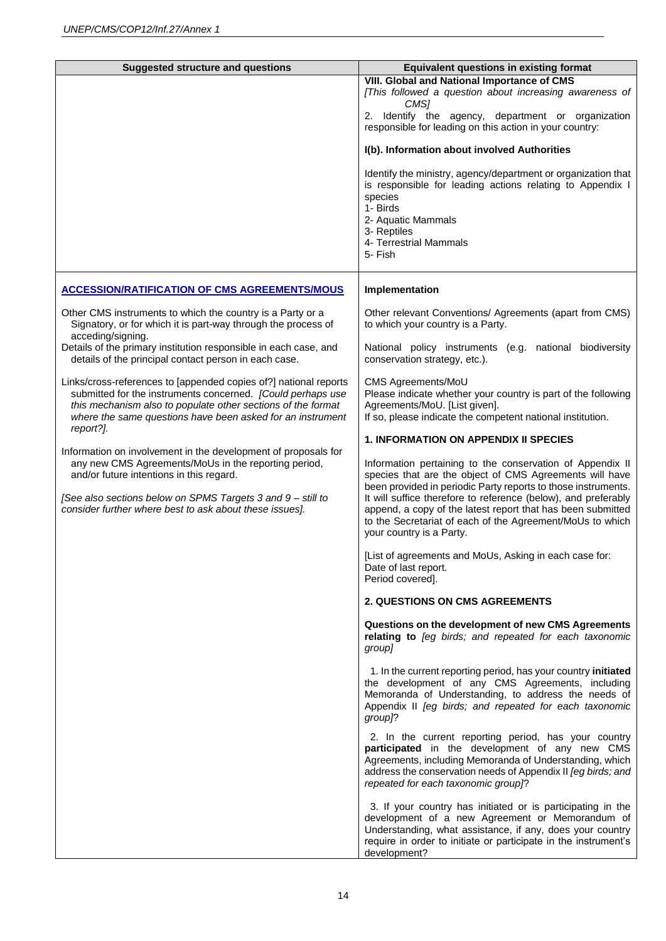| <b>Suggested structure and questions</b>                                                                                                                                                                                                                                                     | <b>Equivalent questions in existing format</b>                                                                                                                                                                                                                                                                                                                                                                  |
|----------------------------------------------------------------------------------------------------------------------------------------------------------------------------------------------------------------------------------------------------------------------------------------------|-----------------------------------------------------------------------------------------------------------------------------------------------------------------------------------------------------------------------------------------------------------------------------------------------------------------------------------------------------------------------------------------------------------------|
|                                                                                                                                                                                                                                                                                              | <b>VIII. Global and National Importance of CMS</b>                                                                                                                                                                                                                                                                                                                                                              |
|                                                                                                                                                                                                                                                                                              | [This followed a question about increasing awareness of<br>CMS1                                                                                                                                                                                                                                                                                                                                                 |
|                                                                                                                                                                                                                                                                                              | 2. Identify the agency, department or organization<br>responsible for leading on this action in your country:                                                                                                                                                                                                                                                                                                   |
|                                                                                                                                                                                                                                                                                              | I(b). Information about involved Authorities                                                                                                                                                                                                                                                                                                                                                                    |
|                                                                                                                                                                                                                                                                                              | Identify the ministry, agency/department or organization that<br>is responsible for leading actions relating to Appendix I<br>species<br>1- Birds<br>2- Aquatic Mammals<br>3- Reptiles<br>4- Terrestrial Mammals<br>5- Fish                                                                                                                                                                                     |
| <b>ACCESSION/RATIFICATION OF CMS AGREEMENTS/MOUS</b>                                                                                                                                                                                                                                         | Implementation                                                                                                                                                                                                                                                                                                                                                                                                  |
| Other CMS instruments to which the country is a Party or a<br>Signatory, or for which it is part-way through the process of<br>acceding/signing.                                                                                                                                             | Other relevant Conventions/ Agreements (apart from CMS)<br>to which your country is a Party.                                                                                                                                                                                                                                                                                                                    |
| Details of the primary institution responsible in each case, and<br>details of the principal contact person in each case.                                                                                                                                                                    | National policy instruments (e.g. national biodiversity<br>conservation strategy, etc.).                                                                                                                                                                                                                                                                                                                        |
| Links/cross-references to [appended copies of?] national reports<br>submitted for the instruments concerned. [Could perhaps use<br>this mechanism also to populate other sections of the format<br>where the same questions have been asked for an instrument<br>report?].                   | CMS Agreements/MoU<br>Please indicate whether your country is part of the following<br>Agreements/MoU. [List given].<br>If so, please indicate the competent national institution.                                                                                                                                                                                                                              |
|                                                                                                                                                                                                                                                                                              | <b>1. INFORMATION ON APPENDIX II SPECIES</b>                                                                                                                                                                                                                                                                                                                                                                    |
| Information on involvement in the development of proposals for<br>any new CMS Agreements/MoUs in the reporting period,<br>and/or future intentions in this regard.<br>[See also sections below on SPMS Targets 3 and 9 - still to<br>consider further where best to ask about these issues]. | Information pertaining to the conservation of Appendix II<br>species that are the object of CMS Agreements will have<br>been provided in periodic Party reports to those instruments.<br>It will suffice therefore to reference (below), and preferably<br>append, a copy of the latest report that has been submitted<br>to the Secretariat of each of the Agreement/MoUs to which<br>your country is a Party. |
|                                                                                                                                                                                                                                                                                              | [List of agreements and MoUs, Asking in each case for:<br>Date of last report.<br>Period covered].                                                                                                                                                                                                                                                                                                              |
|                                                                                                                                                                                                                                                                                              | <b>2. QUESTIONS ON CMS AGREEMENTS</b>                                                                                                                                                                                                                                                                                                                                                                           |
|                                                                                                                                                                                                                                                                                              | Questions on the development of new CMS Agreements<br>relating to [eg birds; and repeated for each taxonomic<br>group]                                                                                                                                                                                                                                                                                          |
|                                                                                                                                                                                                                                                                                              | 1. In the current reporting period, has your country initiated<br>the development of any CMS Agreements, including<br>Memoranda of Understanding, to address the needs of<br>Appendix II [eg birds; and repeated for each taxonomic<br>group]?                                                                                                                                                                  |
|                                                                                                                                                                                                                                                                                              | 2. In the current reporting period, has your country<br>participated in the development of any new CMS<br>Agreements, including Memoranda of Understanding, which<br>address the conservation needs of Appendix II [eg birds; and<br>repeated for each taxonomic group?                                                                                                                                         |
|                                                                                                                                                                                                                                                                                              | 3. If your country has initiated or is participating in the<br>development of a new Agreement or Memorandum of<br>Understanding, what assistance, if any, does your country<br>require in order to initiate or participate in the instrument's<br>development?                                                                                                                                                  |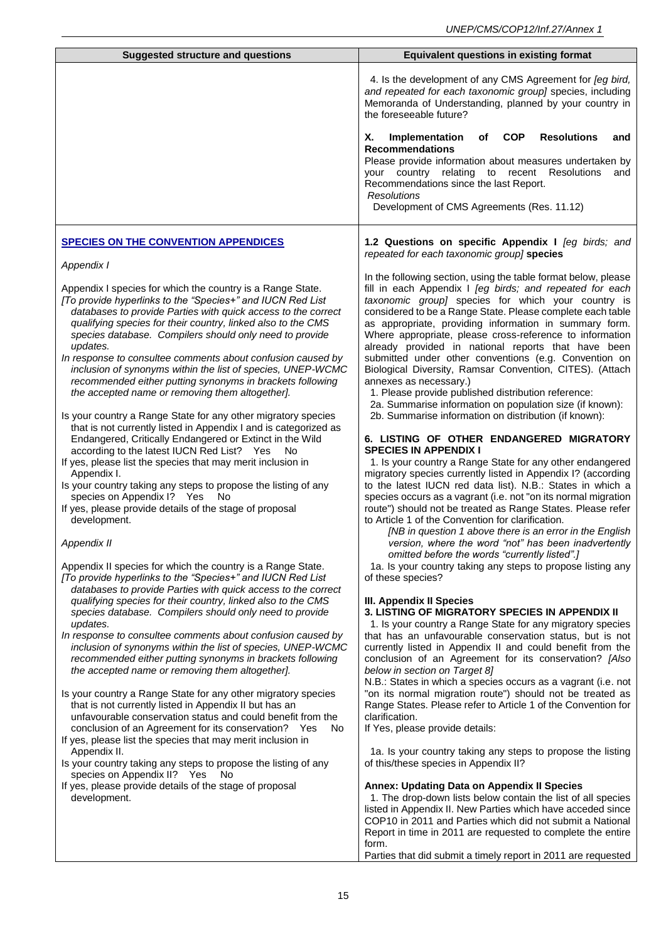| <b>Suggested structure and questions</b>                                                                                                                                                                                                                                                                                                                                                                                                                                                                                                                                                                                                                                                                                                                                                                                                                                                                                                                                                                                                                                                                                                                                                                                                                                                                                                                                                                                                                                                                                                                                                                                                                          | <b>Equivalent questions in existing format</b>                                                                                                                                                                                                                                                                                                                                                                                                                                                                                                                                                                                                                                                                                                                                                                                                                                                                                                                                                                                                                                                                                                                                                                                                                                                                                                                                                                                                                                                                                                                                                                                                                                                                                                                                                               |
|-------------------------------------------------------------------------------------------------------------------------------------------------------------------------------------------------------------------------------------------------------------------------------------------------------------------------------------------------------------------------------------------------------------------------------------------------------------------------------------------------------------------------------------------------------------------------------------------------------------------------------------------------------------------------------------------------------------------------------------------------------------------------------------------------------------------------------------------------------------------------------------------------------------------------------------------------------------------------------------------------------------------------------------------------------------------------------------------------------------------------------------------------------------------------------------------------------------------------------------------------------------------------------------------------------------------------------------------------------------------------------------------------------------------------------------------------------------------------------------------------------------------------------------------------------------------------------------------------------------------------------------------------------------------|--------------------------------------------------------------------------------------------------------------------------------------------------------------------------------------------------------------------------------------------------------------------------------------------------------------------------------------------------------------------------------------------------------------------------------------------------------------------------------------------------------------------------------------------------------------------------------------------------------------------------------------------------------------------------------------------------------------------------------------------------------------------------------------------------------------------------------------------------------------------------------------------------------------------------------------------------------------------------------------------------------------------------------------------------------------------------------------------------------------------------------------------------------------------------------------------------------------------------------------------------------------------------------------------------------------------------------------------------------------------------------------------------------------------------------------------------------------------------------------------------------------------------------------------------------------------------------------------------------------------------------------------------------------------------------------------------------------------------------------------------------------------------------------------------------------|
|                                                                                                                                                                                                                                                                                                                                                                                                                                                                                                                                                                                                                                                                                                                                                                                                                                                                                                                                                                                                                                                                                                                                                                                                                                                                                                                                                                                                                                                                                                                                                                                                                                                                   | 4. Is the development of any CMS Agreement for [eg bird,<br>and repeated for each taxonomic group] species, including<br>Memoranda of Understanding, planned by your country in<br>the foreseeable future?                                                                                                                                                                                                                                                                                                                                                                                                                                                                                                                                                                                                                                                                                                                                                                                                                                                                                                                                                                                                                                                                                                                                                                                                                                                                                                                                                                                                                                                                                                                                                                                                   |
|                                                                                                                                                                                                                                                                                                                                                                                                                                                                                                                                                                                                                                                                                                                                                                                                                                                                                                                                                                                                                                                                                                                                                                                                                                                                                                                                                                                                                                                                                                                                                                                                                                                                   | Х.<br>Implementation<br>of<br><b>COP</b><br><b>Resolutions</b><br>and<br><b>Recommendations</b><br>Please provide information about measures undertaken by<br>your country relating to recent Resolutions<br>and<br>Recommendations since the last Report.<br><b>Resolutions</b><br>Development of CMS Agreements (Res. 11.12)                                                                                                                                                                                                                                                                                                                                                                                                                                                                                                                                                                                                                                                                                                                                                                                                                                                                                                                                                                                                                                                                                                                                                                                                                                                                                                                                                                                                                                                                               |
| <b>SPECIES ON THE CONVENTION APPENDICES</b>                                                                                                                                                                                                                                                                                                                                                                                                                                                                                                                                                                                                                                                                                                                                                                                                                                                                                                                                                                                                                                                                                                                                                                                                                                                                                                                                                                                                                                                                                                                                                                                                                       | 1.2 Questions on specific Appendix I [eg birds; and<br>repeated for each taxonomic group] species                                                                                                                                                                                                                                                                                                                                                                                                                                                                                                                                                                                                                                                                                                                                                                                                                                                                                                                                                                                                                                                                                                                                                                                                                                                                                                                                                                                                                                                                                                                                                                                                                                                                                                            |
| Appendix I<br>Appendix I species for which the country is a Range State.<br>[To provide hyperlinks to the "Species+" and IUCN Red List<br>databases to provide Parties with quick access to the correct<br>qualifying species for their country, linked also to the CMS<br>species database. Compilers should only need to provide<br>updates.<br>In response to consultee comments about confusion caused by<br>inclusion of synonyms within the list of species, UNEP-WCMC<br>recommended either putting synonyms in brackets following<br>the accepted name or removing them altogether].<br>Is your country a Range State for any other migratory species<br>that is not currently listed in Appendix I and is categorized as<br>Endangered, Critically Endangered or Extinct in the Wild<br>according to the latest IUCN Red List? Yes<br>No.<br>If yes, please list the species that may merit inclusion in<br>Appendix I.<br>Is your country taking any steps to propose the listing of any<br>species on Appendix I? Yes<br>No.<br>If yes, please provide details of the stage of proposal<br>development.<br>Appendix II<br>Appendix II species for which the country is a Range State.<br>[To provide hyperlinks to the "Species+" and IUCN Red List<br>databases to provide Parties with quick access to the correct<br>qualifying species for their country, linked also to the CMS<br>species database. Compilers should only need to provide<br>updates.<br>In response to consultee comments about confusion caused by<br>inclusion of synonyms within the list of species, UNEP-WCMC<br>recommended either putting synonyms in brackets following | In the following section, using the table format below, please<br>fill in each Appendix I [eg birds; and repeated for each<br>taxonomic group] species for which your country is<br>considered to be a Range State. Please complete each table<br>as appropriate, providing information in summary form.<br>Where appropriate, please cross-reference to information<br>already provided in national reports that have been<br>submitted under other conventions (e.g. Convention on<br>Biological Diversity, Ramsar Convention, CITES). (Attach<br>annexes as necessary.)<br>1. Please provide published distribution reference:<br>2a. Summarise information on population size (if known):<br>2b. Summarise information on distribution (if known):<br>6. LISTING OF OTHER ENDANGERED MIGRATORY<br><b>SPECIES IN APPENDIX I</b><br>1. Is your country a Range State for any other endangered<br>migratory species currently listed in Appendix I? (according<br>to the latest IUCN red data list). N.B.: States in which a<br>species occurs as a vagrant (i.e. not "on its normal migration<br>route") should not be treated as Range States. Please refer<br>to Article 1 of the Convention for clarification.<br>[NB in question 1 above there is an error in the English<br>version, where the word "not" has been inadvertently<br>omitted before the words "currently listed".]<br>1a. Is your country taking any steps to propose listing any<br>of these species?<br>III. Appendix II Species<br>3. LISTING OF MIGRATORY SPECIES IN APPENDIX II<br>1. Is your country a Range State for any migratory species<br>that has an unfavourable conservation status, but is not<br>currently listed in Appendix II and could benefit from the<br>conclusion of an Agreement for its conservation? [Also |
| the accepted name or removing them altogether].<br>Is your country a Range State for any other migratory species<br>that is not currently listed in Appendix II but has an<br>unfavourable conservation status and could benefit from the<br>conclusion of an Agreement for its conservation? Yes<br>No.<br>If yes, please list the species that may merit inclusion in<br>Appendix II.                                                                                                                                                                                                                                                                                                                                                                                                                                                                                                                                                                                                                                                                                                                                                                                                                                                                                                                                                                                                                                                                                                                                                                                                                                                                           | below in section on Target 8]<br>N.B.: States in which a species occurs as a vagrant (i.e. not<br>"on its normal migration route") should not be treated as<br>Range States. Please refer to Article 1 of the Convention for<br>clarification.<br>If Yes, please provide details:<br>1a. Is your country taking any steps to propose the listing                                                                                                                                                                                                                                                                                                                                                                                                                                                                                                                                                                                                                                                                                                                                                                                                                                                                                                                                                                                                                                                                                                                                                                                                                                                                                                                                                                                                                                                             |
| Is your country taking any steps to propose the listing of any<br>species on Appendix II? Yes<br>- No                                                                                                                                                                                                                                                                                                                                                                                                                                                                                                                                                                                                                                                                                                                                                                                                                                                                                                                                                                                                                                                                                                                                                                                                                                                                                                                                                                                                                                                                                                                                                             | of this/these species in Appendix II?<br><b>Annex: Updating Data on Appendix II Species</b>                                                                                                                                                                                                                                                                                                                                                                                                                                                                                                                                                                                                                                                                                                                                                                                                                                                                                                                                                                                                                                                                                                                                                                                                                                                                                                                                                                                                                                                                                                                                                                                                                                                                                                                  |
| If yes, please provide details of the stage of proposal<br>development.                                                                                                                                                                                                                                                                                                                                                                                                                                                                                                                                                                                                                                                                                                                                                                                                                                                                                                                                                                                                                                                                                                                                                                                                                                                                                                                                                                                                                                                                                                                                                                                           | 1. The drop-down lists below contain the list of all species<br>listed in Appendix II. New Parties which have acceded since<br>COP10 in 2011 and Parties which did not submit a National<br>Report in time in 2011 are requested to complete the entire<br>form.<br>Parties that did submit a timely report in 2011 are requested                                                                                                                                                                                                                                                                                                                                                                                                                                                                                                                                                                                                                                                                                                                                                                                                                                                                                                                                                                                                                                                                                                                                                                                                                                                                                                                                                                                                                                                                            |
|                                                                                                                                                                                                                                                                                                                                                                                                                                                                                                                                                                                                                                                                                                                                                                                                                                                                                                                                                                                                                                                                                                                                                                                                                                                                                                                                                                                                                                                                                                                                                                                                                                                                   |                                                                                                                                                                                                                                                                                                                                                                                                                                                                                                                                                                                                                                                                                                                                                                                                                                                                                                                                                                                                                                                                                                                                                                                                                                                                                                                                                                                                                                                                                                                                                                                                                                                                                                                                                                                                              |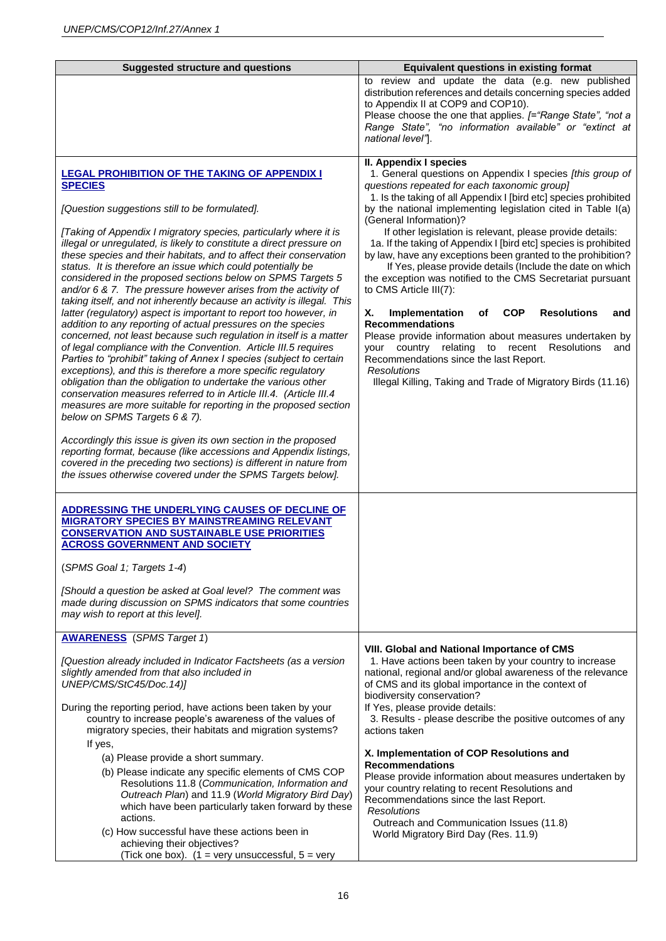| <b>Suggested structure and questions</b>                                                                                                                                                                                                                                                                                                                                                                                                                                                                                                                                                                                                                                                                                                                                                                                                                                                                                                                                                                                                                                                                                                                                                                                                                                                                                                                                                                                                                                                                                                                             | <b>Equivalent questions in existing format</b>                                                                                                                                                                                                                                                                                                                                                                                                                                                                                                                                                                                                                                                                                                                                                                                                                                                                                                                                                                              |
|----------------------------------------------------------------------------------------------------------------------------------------------------------------------------------------------------------------------------------------------------------------------------------------------------------------------------------------------------------------------------------------------------------------------------------------------------------------------------------------------------------------------------------------------------------------------------------------------------------------------------------------------------------------------------------------------------------------------------------------------------------------------------------------------------------------------------------------------------------------------------------------------------------------------------------------------------------------------------------------------------------------------------------------------------------------------------------------------------------------------------------------------------------------------------------------------------------------------------------------------------------------------------------------------------------------------------------------------------------------------------------------------------------------------------------------------------------------------------------------------------------------------------------------------------------------------|-----------------------------------------------------------------------------------------------------------------------------------------------------------------------------------------------------------------------------------------------------------------------------------------------------------------------------------------------------------------------------------------------------------------------------------------------------------------------------------------------------------------------------------------------------------------------------------------------------------------------------------------------------------------------------------------------------------------------------------------------------------------------------------------------------------------------------------------------------------------------------------------------------------------------------------------------------------------------------------------------------------------------------|
|                                                                                                                                                                                                                                                                                                                                                                                                                                                                                                                                                                                                                                                                                                                                                                                                                                                                                                                                                                                                                                                                                                                                                                                                                                                                                                                                                                                                                                                                                                                                                                      | to review and update the data (e.g. new published<br>distribution references and details concerning species added<br>to Appendix II at COP9 and COP10).<br>Please choose the one that applies. [="Range State", "not a<br>Range State", "no information available" or "extinct at<br>national level"].                                                                                                                                                                                                                                                                                                                                                                                                                                                                                                                                                                                                                                                                                                                      |
| <b>LEGAL PROHIBITION OF THE TAKING OF APPENDIX I</b><br><b>SPECIES</b><br>[Question suggestions still to be formulated].<br>[Taking of Appendix I migratory species, particularly where it is<br>illegal or unregulated, is likely to constitute a direct pressure on<br>these species and their habitats, and to affect their conservation<br>status. It is therefore an issue which could potentially be<br>considered in the proposed sections below on SPMS Targets 5<br>and/or 6 & 7. The pressure however arises from the activity of<br>taking itself, and not inherently because an activity is illegal. This<br>latter (regulatory) aspect is important to report too however, in<br>addition to any reporting of actual pressures on the species<br>concerned, not least because such regulation in itself is a matter<br>of legal compliance with the Convention. Article III.5 requires<br>Parties to "prohibit" taking of Annex I species (subject to certain<br>exceptions), and this is therefore a more specific regulatory<br>obligation than the obligation to undertake the various other<br>conservation measures referred to in Article III.4. (Article III.4<br>measures are more suitable for reporting in the proposed section<br>below on SPMS Targets 6 & 7).<br>Accordingly this issue is given its own section in the proposed<br>reporting format, because (like accessions and Appendix listings,<br>covered in the preceding two sections) is different in nature from<br>the issues otherwise covered under the SPMS Targets below]. | II. Appendix I species<br>1. General questions on Appendix I species [this group of<br>questions repeated for each taxonomic group]<br>1. Is the taking of all Appendix I [bird etc] species prohibited<br>by the national implementing legislation cited in Table I(a)<br>(General Information)?<br>If other legislation is relevant, please provide details:<br>1a. If the taking of Appendix I [bird etc] species is prohibited<br>by law, have any exceptions been granted to the prohibition?<br>If Yes, please provide details (Include the date on which<br>the exception was notified to the CMS Secretariat pursuant<br>to CMS Article III(7):<br>X.<br>Implementation<br><b>COP</b><br><b>Resolutions</b><br>оf<br>and<br><b>Recommendations</b><br>Please provide information about measures undertaken by<br>your country<br>relating<br>to recent<br><b>Resolutions</b><br>and<br>Recommendations since the last Report.<br><b>Resolutions</b><br>Illegal Killing, Taking and Trade of Migratory Birds (11.16) |
| ADDRESSING THE UNDERLYING CAUSES OF DECLINE OF<br><b>MIGRATORY SPECIES BY MAINSTREAMING RELEVANT</b><br><b>CONSERVATION AND SUSTAINABLE USE PRIORITIES</b><br><b>ACROSS GOVERNMENT AND SOCIETY</b><br>(SPMS Goal 1; Targets 1-4)                                                                                                                                                                                                                                                                                                                                                                                                                                                                                                                                                                                                                                                                                                                                                                                                                                                                                                                                                                                                                                                                                                                                                                                                                                                                                                                                     |                                                                                                                                                                                                                                                                                                                                                                                                                                                                                                                                                                                                                                                                                                                                                                                                                                                                                                                                                                                                                             |
| [Should a question be asked at Goal level? The comment was<br>made during discussion on SPMS indicators that some countries<br>may wish to report at this level].                                                                                                                                                                                                                                                                                                                                                                                                                                                                                                                                                                                                                                                                                                                                                                                                                                                                                                                                                                                                                                                                                                                                                                                                                                                                                                                                                                                                    |                                                                                                                                                                                                                                                                                                                                                                                                                                                                                                                                                                                                                                                                                                                                                                                                                                                                                                                                                                                                                             |
| <b>AWARENESS</b> (SPMS Target 1)<br>[Question already included in Indicator Factsheets (as a version<br>slightly amended from that also included in<br>UNEP/CMS/StC45/Doc.14)]<br>During the reporting period, have actions been taken by your<br>country to increase people's awareness of the values of<br>migratory species, their habitats and migration systems?                                                                                                                                                                                                                                                                                                                                                                                                                                                                                                                                                                                                                                                                                                                                                                                                                                                                                                                                                                                                                                                                                                                                                                                                | VIII. Global and National Importance of CMS<br>1. Have actions been taken by your country to increase<br>national, regional and/or global awareness of the relevance<br>of CMS and its global importance in the context of<br>biodiversity conservation?<br>If Yes, please provide details:<br>3. Results - please describe the positive outcomes of any<br>actions taken                                                                                                                                                                                                                                                                                                                                                                                                                                                                                                                                                                                                                                                   |
| If yes,<br>(a) Please provide a short summary.<br>(b) Please indicate any specific elements of CMS COP<br>Resolutions 11.8 (Communication, Information and<br>Outreach Plan) and 11.9 (World Migratory Bird Day)<br>which have been particularly taken forward by these<br>actions.<br>(c) How successful have these actions been in<br>achieving their objectives?<br>(Tick one box). $(1 = \text{very unsuccessful}, 5 = \text{very}$                                                                                                                                                                                                                                                                                                                                                                                                                                                                                                                                                                                                                                                                                                                                                                                                                                                                                                                                                                                                                                                                                                                              | X. Implementation of COP Resolutions and<br><b>Recommendations</b><br>Please provide information about measures undertaken by<br>your country relating to recent Resolutions and<br>Recommendations since the last Report.<br>Resolutions<br>Outreach and Communication Issues (11.8)<br>World Migratory Bird Day (Res. 11.9)                                                                                                                                                                                                                                                                                                                                                                                                                                                                                                                                                                                                                                                                                               |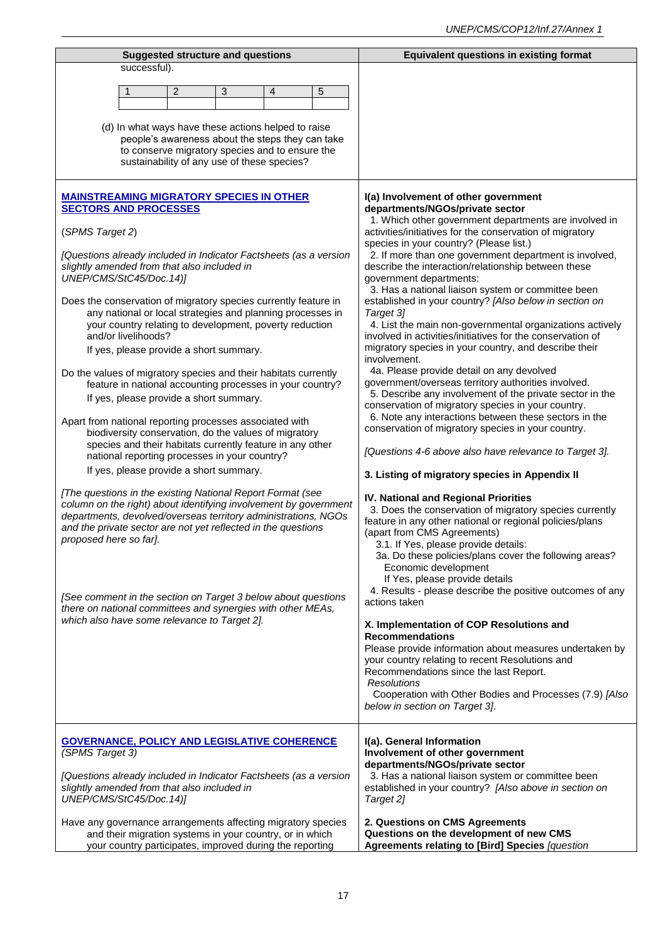| <b>Suggested structure and questions</b>                                                                                                                                                                                                                                                                                                                                                                                                                                                                                                                                                                                                                                                                                                                                                                       | <b>Equivalent questions in existing format</b>                                                                                                                                                                                                                                                                                                                                                                                                                                                                                                                                                                                                                                                                                                                                                                                                                                                                                                                                                                                                           |
|----------------------------------------------------------------------------------------------------------------------------------------------------------------------------------------------------------------------------------------------------------------------------------------------------------------------------------------------------------------------------------------------------------------------------------------------------------------------------------------------------------------------------------------------------------------------------------------------------------------------------------------------------------------------------------------------------------------------------------------------------------------------------------------------------------------|----------------------------------------------------------------------------------------------------------------------------------------------------------------------------------------------------------------------------------------------------------------------------------------------------------------------------------------------------------------------------------------------------------------------------------------------------------------------------------------------------------------------------------------------------------------------------------------------------------------------------------------------------------------------------------------------------------------------------------------------------------------------------------------------------------------------------------------------------------------------------------------------------------------------------------------------------------------------------------------------------------------------------------------------------------|
| successful).                                                                                                                                                                                                                                                                                                                                                                                                                                                                                                                                                                                                                                                                                                                                                                                                   |                                                                                                                                                                                                                                                                                                                                                                                                                                                                                                                                                                                                                                                                                                                                                                                                                                                                                                                                                                                                                                                          |
| $\overline{2}$<br>3<br>5<br>1<br>4                                                                                                                                                                                                                                                                                                                                                                                                                                                                                                                                                                                                                                                                                                                                                                             |                                                                                                                                                                                                                                                                                                                                                                                                                                                                                                                                                                                                                                                                                                                                                                                                                                                                                                                                                                                                                                                          |
|                                                                                                                                                                                                                                                                                                                                                                                                                                                                                                                                                                                                                                                                                                                                                                                                                |                                                                                                                                                                                                                                                                                                                                                                                                                                                                                                                                                                                                                                                                                                                                                                                                                                                                                                                                                                                                                                                          |
| (d) In what ways have these actions helped to raise<br>people's awareness about the steps they can take<br>to conserve migratory species and to ensure the<br>sustainability of any use of these species?                                                                                                                                                                                                                                                                                                                                                                                                                                                                                                                                                                                                      |                                                                                                                                                                                                                                                                                                                                                                                                                                                                                                                                                                                                                                                                                                                                                                                                                                                                                                                                                                                                                                                          |
| <b>MAINSTREAMING MIGRATORY SPECIES IN OTHER</b><br><b>SECTORS AND PROCESSES</b><br>(SPMS Target 2)<br>[Questions already included in Indicator Factsheets (as a version<br>slightly amended from that also included in<br>UNEP/CMS/StC45/Doc.14)]<br>Does the conservation of migratory species currently feature in<br>any national or local strategies and planning processes in<br>your country relating to development, poverty reduction<br>and/or livelihoods?<br>If yes, please provide a short summary.<br>Do the values of migratory species and their habitats currently<br>feature in national accounting processes in your country?<br>If yes, please provide a short summary.<br>Apart from national reporting processes associated with<br>biodiversity conservation, do the values of migratory | I(a) Involvement of other government<br>departments/NGOs/private sector<br>1. Which other government departments are involved in<br>activities/initiatives for the conservation of migratory<br>species in your country? (Please list.)<br>2. If more than one government department is involved,<br>describe the interaction/relationship between these<br>government departments:<br>3. Has a national liaison system or committee been<br>established in your country? [Also below in section on<br>Target 3]<br>4. List the main non-governmental organizations actively<br>involved in activities/initiatives for the conservation of<br>migratory species in your country, and describe their<br>involvement.<br>4a. Please provide detail on any devolved<br>government/overseas territory authorities involved.<br>5. Describe any involvement of the private sector in the<br>conservation of migratory species in your country.<br>6. Note any interactions between these sectors in the<br>conservation of migratory species in your country. |
| species and their habitats currently feature in any other<br>national reporting processes in your country?                                                                                                                                                                                                                                                                                                                                                                                                                                                                                                                                                                                                                                                                                                     | [Questions 4-6 above also have relevance to Target 3].                                                                                                                                                                                                                                                                                                                                                                                                                                                                                                                                                                                                                                                                                                                                                                                                                                                                                                                                                                                                   |
| If yes, please provide a short summary.                                                                                                                                                                                                                                                                                                                                                                                                                                                                                                                                                                                                                                                                                                                                                                        | 3. Listing of migratory species in Appendix II                                                                                                                                                                                                                                                                                                                                                                                                                                                                                                                                                                                                                                                                                                                                                                                                                                                                                                                                                                                                           |
| [The questions in the existing National Report Format (see<br>column on the right) about identifying involvement by government<br>departments, devolved/overseas territory administrations, NGOs<br>and the private sector are not yet reflected in the questions<br>proposed here so far].<br>[See comment in the section on Target 3 below about questions<br>there on national committees and synergies with other MEAs,<br>which also have some relevance to Target 2].                                                                                                                                                                                                                                                                                                                                    | IV. National and Regional Priorities<br>3. Does the conservation of migratory species currently<br>feature in any other national or regional policies/plans<br>(apart from CMS Agreements)<br>3.1. If Yes, please provide details:<br>3a. Do these policies/plans cover the following areas?<br>Economic development<br>If Yes, please provide details<br>4. Results - please describe the positive outcomes of any<br>actions taken<br>X. Implementation of COP Resolutions and<br><b>Recommendations</b><br>Please provide information about measures undertaken by<br>your country relating to recent Resolutions and<br>Recommendations since the last Report.<br><b>Resolutions</b><br>Cooperation with Other Bodies and Processes (7.9) [Also<br>below in section on Target 3].                                                                                                                                                                                                                                                                    |
| <b>GOVERNANCE, POLICY AND LEGISLATIVE COHERENCE</b><br>(SPMS Target 3)<br>[Questions already included in Indicator Factsheets (as a version<br>slightly amended from that also included in<br>UNEP/CMS/StC45/Doc.14)]<br>Have any governance arrangements affecting migratory species<br>and their migration systems in your country, or in which<br>your country participates, improved during the reporting                                                                                                                                                                                                                                                                                                                                                                                                  | I(a). General Information<br>Involvement of other government<br>departments/NGOs/private sector<br>3. Has a national liaison system or committee been<br>established in your country? [Also above in section on<br>Target 2]<br>2. Questions on CMS Agreements<br>Questions on the development of new CMS<br>Agreements relating to [Bird] Species [question                                                                                                                                                                                                                                                                                                                                                                                                                                                                                                                                                                                                                                                                                             |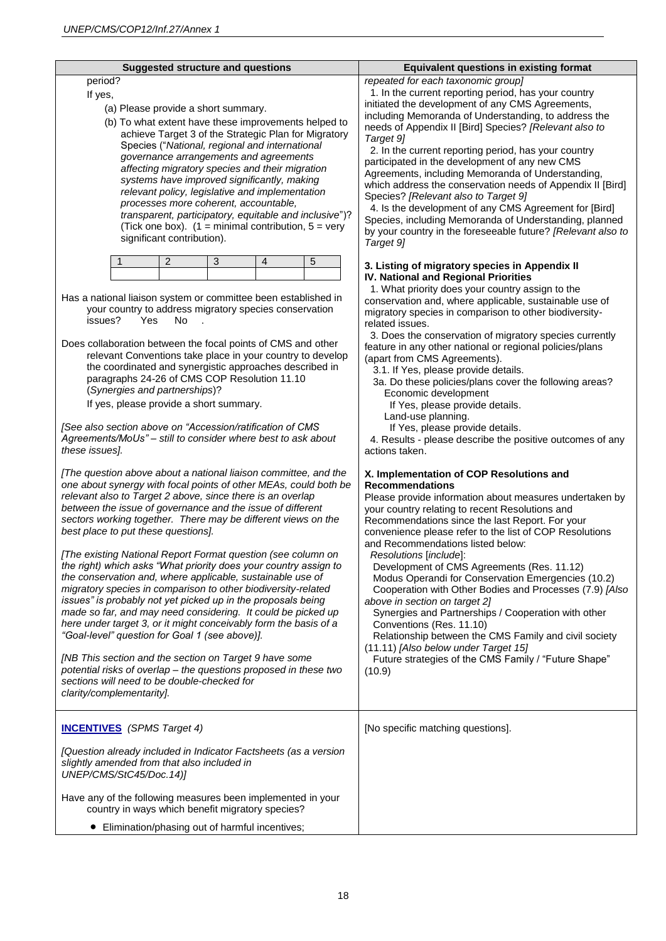| <b>Suggested structure and questions</b>                                                                                                                                                                                                                                                                                                                                                                                                                                                                                                                                                                                                                                                                                                                                                                                                                                                                                                                                                                                                                                                                   | <b>Equivalent questions in existing format</b>                                                                                                                                                                                                                                                                                                                                                                                                                                                                                                                                                                                                                                                                                                                                                                      |
|------------------------------------------------------------------------------------------------------------------------------------------------------------------------------------------------------------------------------------------------------------------------------------------------------------------------------------------------------------------------------------------------------------------------------------------------------------------------------------------------------------------------------------------------------------------------------------------------------------------------------------------------------------------------------------------------------------------------------------------------------------------------------------------------------------------------------------------------------------------------------------------------------------------------------------------------------------------------------------------------------------------------------------------------------------------------------------------------------------|---------------------------------------------------------------------------------------------------------------------------------------------------------------------------------------------------------------------------------------------------------------------------------------------------------------------------------------------------------------------------------------------------------------------------------------------------------------------------------------------------------------------------------------------------------------------------------------------------------------------------------------------------------------------------------------------------------------------------------------------------------------------------------------------------------------------|
| period?<br>If yes,<br>(a) Please provide a short summary.<br>(b) To what extent have these improvements helped to<br>achieve Target 3 of the Strategic Plan for Migratory<br>Species ("National, regional and international<br>governance arrangements and agreements<br>affecting migratory species and their migration<br>systems have improved significantly, making<br>relevant policy, legislative and implementation<br>processes more coherent, accountable,<br>transparent, participatory, equitable and inclusive")?<br>(Tick one box). $(1 = \text{minimal contribution}, 5 = \text{very})$<br>significant contribution).                                                                                                                                                                                                                                                                                                                                                                                                                                                                        | repeated for each taxonomic group]<br>1. In the current reporting period, has your country<br>initiated the development of any CMS Agreements,<br>including Memoranda of Understanding, to address the<br>needs of Appendix II [Bird] Species? [Relevant also to<br>Target 9]<br>2. In the current reporting period, has your country<br>participated in the development of any new CMS<br>Agreements, including Memoranda of Understanding,<br>which address the conservation needs of Appendix II [Bird]<br>Species? [Relevant also to Target 9]<br>4. Is the development of any CMS Agreement for [Bird]<br>Species, including Memoranda of Understanding, planned<br>by your country in the foreseeable future? [Relevant also to<br>Target 9]                                                                  |
| 5<br>2<br>3<br>4<br>Has a national liaison system or committee been established in<br>your country to address migratory species conservation<br>issues?<br><b>Yes</b><br>No.<br>Does collaboration between the focal points of CMS and other<br>relevant Conventions take place in your country to develop<br>the coordinated and synergistic approaches described in<br>paragraphs 24-26 of CMS COP Resolution 11.10<br>(Synergies and partnerships)?<br>If yes, please provide a short summary.<br>[See also section above on "Accession/ratification of CMS<br>Agreements/MoUs" - still to consider where best to ask about<br>these issues].                                                                                                                                                                                                                                                                                                                                                                                                                                                           | 3. Listing of migratory species in Appendix II<br>IV. National and Regional Priorities<br>1. What priority does your country assign to the<br>conservation and, where applicable, sustainable use of<br>migratory species in comparison to other biodiversity-<br>related issues.<br>3. Does the conservation of migratory species currently<br>feature in any other national or regional policies/plans<br>(apart from CMS Agreements).<br>3.1. If Yes, please provide details.<br>3a. Do these policies/plans cover the following areas?<br>Economic development<br>If Yes, please provide details.<br>Land-use planning.<br>If Yes, please provide details.<br>4. Results - please describe the positive outcomes of any<br>actions taken.                                                                       |
| [The question above about a national liaison committee, and the<br>one about synergy with focal points of other MEAs, could both be<br>relevant also to Target 2 above, since there is an overlap<br>between the issue of governance and the issue of different<br>sectors working together. There may be different views on the<br>best place to put these questions].<br>[The existing National Report Format question (see column on<br>the right) which asks "What priority does your country assign to<br>the conservation and, where applicable, sustainable use of<br>migratory species in comparison to other biodiversity-related<br>issues" is probably not yet picked up in the proposals being<br>made so far, and may need considering. It could be picked up<br>here under target 3, or it might conceivably form the basis of a<br>"Goal-level" question for Goal 1 (see above)].<br>[NB This section and the section on Target 9 have some<br>potential risks of overlap - the questions proposed in these two<br>sections will need to be double-checked for<br>clarity/complementarity]. | X. Implementation of COP Resolutions and<br><b>Recommendations</b><br>Please provide information about measures undertaken by<br>your country relating to recent Resolutions and<br>Recommendations since the last Report. For your<br>convenience please refer to the list of COP Resolutions<br>and Recommendations listed below:<br>Resolutions [include]:<br>Development of CMS Agreements (Res. 11.12)<br>Modus Operandi for Conservation Emergencies (10.2)<br>Cooperation with Other Bodies and Processes (7.9) [Also<br>above in section on target 2]<br>Synergies and Partnerships / Cooperation with other<br>Conventions (Res. 11.10)<br>Relationship between the CMS Family and civil society<br>(11.11) [Also below under Target 15]<br>Future strategies of the CMS Family / "Future Shape"<br>(10.9) |
| <b>INCENTIVES</b> (SPMS Target 4)<br>[Question already included in Indicator Factsheets (as a version<br>slightly amended from that also included in<br>UNEP/CMS/StC45/Doc.14)]<br>Have any of the following measures been implemented in your<br>country in ways which benefit migratory species?<br>• Elimination/phasing out of harmful incentives;                                                                                                                                                                                                                                                                                                                                                                                                                                                                                                                                                                                                                                                                                                                                                     | [No specific matching questions].                                                                                                                                                                                                                                                                                                                                                                                                                                                                                                                                                                                                                                                                                                                                                                                   |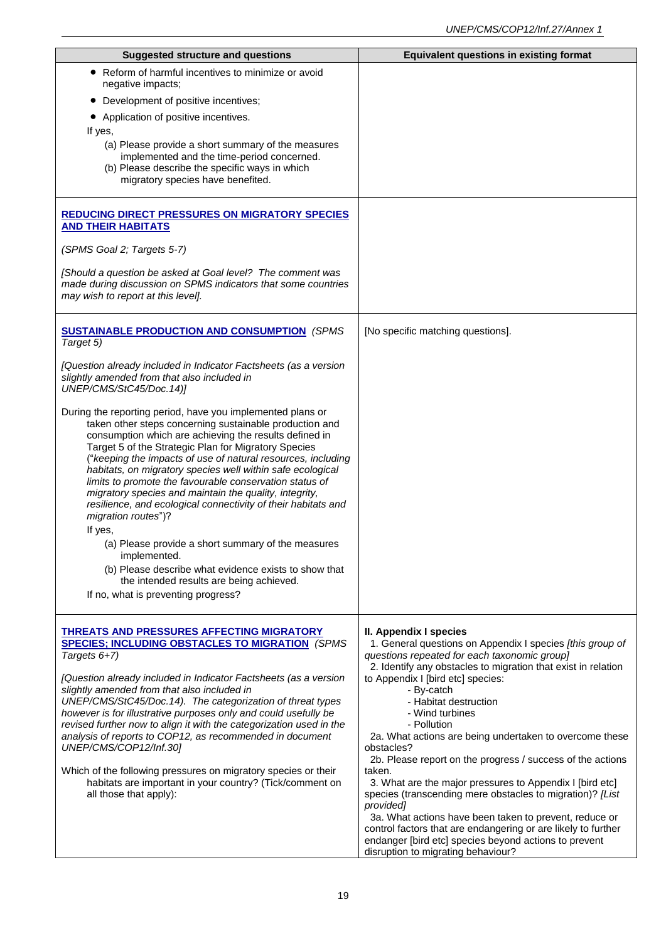| <b>Suggested structure and questions</b>                                                                                                                                                                                                                                                                                                                                                                                                                                                                                                                                                                                                                                                                                                                                 | <b>Equivalent questions in existing format</b>                                                                                                                                                                         |
|--------------------------------------------------------------------------------------------------------------------------------------------------------------------------------------------------------------------------------------------------------------------------------------------------------------------------------------------------------------------------------------------------------------------------------------------------------------------------------------------------------------------------------------------------------------------------------------------------------------------------------------------------------------------------------------------------------------------------------------------------------------------------|------------------------------------------------------------------------------------------------------------------------------------------------------------------------------------------------------------------------|
| Reform of harmful incentives to minimize or avoid<br>negative impacts;                                                                                                                                                                                                                                                                                                                                                                                                                                                                                                                                                                                                                                                                                                   |                                                                                                                                                                                                                        |
| Development of positive incentives;                                                                                                                                                                                                                                                                                                                                                                                                                                                                                                                                                                                                                                                                                                                                      |                                                                                                                                                                                                                        |
| • Application of positive incentives.                                                                                                                                                                                                                                                                                                                                                                                                                                                                                                                                                                                                                                                                                                                                    |                                                                                                                                                                                                                        |
| If yes,                                                                                                                                                                                                                                                                                                                                                                                                                                                                                                                                                                                                                                                                                                                                                                  |                                                                                                                                                                                                                        |
| (a) Please provide a short summary of the measures<br>implemented and the time-period concerned.                                                                                                                                                                                                                                                                                                                                                                                                                                                                                                                                                                                                                                                                         |                                                                                                                                                                                                                        |
| (b) Please describe the specific ways in which                                                                                                                                                                                                                                                                                                                                                                                                                                                                                                                                                                                                                                                                                                                           |                                                                                                                                                                                                                        |
| migratory species have benefited.                                                                                                                                                                                                                                                                                                                                                                                                                                                                                                                                                                                                                                                                                                                                        |                                                                                                                                                                                                                        |
| <b>REDUCING DIRECT PRESSURES ON MIGRATORY SPECIES</b><br><b>AND THEIR HABITATS</b>                                                                                                                                                                                                                                                                                                                                                                                                                                                                                                                                                                                                                                                                                       |                                                                                                                                                                                                                        |
| (SPMS Goal 2; Targets 5-7)                                                                                                                                                                                                                                                                                                                                                                                                                                                                                                                                                                                                                                                                                                                                               |                                                                                                                                                                                                                        |
| [Should a question be asked at Goal level? The comment was<br>made during discussion on SPMS indicators that some countries<br>may wish to report at this level].                                                                                                                                                                                                                                                                                                                                                                                                                                                                                                                                                                                                        |                                                                                                                                                                                                                        |
| <b>SUSTAINABLE PRODUCTION AND CONSUMPTION (SPMS)</b><br>Target 5)                                                                                                                                                                                                                                                                                                                                                                                                                                                                                                                                                                                                                                                                                                        | [No specific matching questions].                                                                                                                                                                                      |
| [Question already included in Indicator Factsheets (as a version<br>slightly amended from that also included in<br>UNEP/CMS/StC45/Doc.14)]                                                                                                                                                                                                                                                                                                                                                                                                                                                                                                                                                                                                                               |                                                                                                                                                                                                                        |
| During the reporting period, have you implemented plans or<br>taken other steps concerning sustainable production and<br>consumption which are achieving the results defined in<br>Target 5 of the Strategic Plan for Migratory Species<br>("keeping the impacts of use of natural resources, including<br>habitats, on migratory species well within safe ecological<br>limits to promote the favourable conservation status of<br>migratory species and maintain the quality, integrity,<br>resilience, and ecological connectivity of their habitats and<br>migration routes")?<br>If yes,<br>(a) Please provide a short summary of the measures<br>implemented.<br>(b) Please describe what evidence exists to show that<br>the intended results are being achieved. |                                                                                                                                                                                                                        |
| If no, what is preventing progress?                                                                                                                                                                                                                                                                                                                                                                                                                                                                                                                                                                                                                                                                                                                                      |                                                                                                                                                                                                                        |
| <b>THREATS AND PRESSURES AFFECTING MIGRATORY</b><br><b>SPECIES; INCLUDING OBSTACLES TO MIGRATION (SPMS)</b><br>Targets 6+7)                                                                                                                                                                                                                                                                                                                                                                                                                                                                                                                                                                                                                                              | II. Appendix I species<br>1. General questions on Appendix I species [this group of<br>questions repeated for each taxonomic group]<br>2. Identify any obstacles to migration that exist in relation                   |
| [Question already included in Indicator Factsheets (as a version<br>slightly amended from that also included in<br>UNEP/CMS/StC45/Doc.14). The categorization of threat types<br>however is for illustrative purposes only and could usefully be<br>revised further now to align it with the categorization used in the<br>analysis of reports to COP12, as recommended in document                                                                                                                                                                                                                                                                                                                                                                                      | to Appendix I [bird etc] species:<br>- By-catch<br>- Habitat destruction<br>- Wind turbines<br>- Pollution<br>2a. What actions are being undertaken to overcome these                                                  |
| UNEP/CMS/COP12/Inf.30]                                                                                                                                                                                                                                                                                                                                                                                                                                                                                                                                                                                                                                                                                                                                                   | obstacles?<br>2b. Please report on the progress / success of the actions                                                                                                                                               |
| Which of the following pressures on migratory species or their<br>habitats are important in your country? (Tick/comment on<br>all those that apply):                                                                                                                                                                                                                                                                                                                                                                                                                                                                                                                                                                                                                     | taken.<br>3. What are the major pressures to Appendix I [bird etc]<br>species (transcending mere obstacles to migration)? [List<br>provided]                                                                           |
|                                                                                                                                                                                                                                                                                                                                                                                                                                                                                                                                                                                                                                                                                                                                                                          | 3a. What actions have been taken to prevent, reduce or<br>control factors that are endangering or are likely to further<br>endanger [bird etc] species beyond actions to prevent<br>disruption to migrating behaviour? |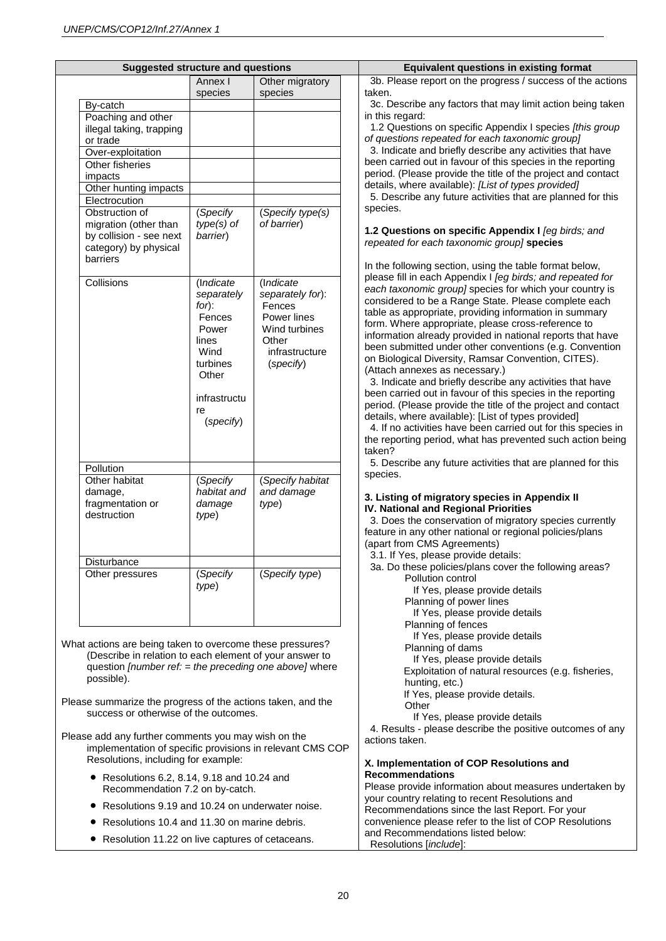| <b>Suggested structure and questions</b>                             |                         |                                | <b>Equivalent questions in existing format</b>                                                                              |
|----------------------------------------------------------------------|-------------------------|--------------------------------|-----------------------------------------------------------------------------------------------------------------------------|
|                                                                      | Annex I                 | Other migratory                | 3b. Please report on the progress / success of the actions                                                                  |
|                                                                      | species                 | species                        | taken.                                                                                                                      |
| By-catch<br>Poaching and other                                       |                         |                                | 3c. Describe any factors that may limit action being taken<br>in this regard:                                               |
| illegal taking, trapping                                             |                         |                                | 1.2 Questions on specific Appendix I species [this group                                                                    |
| or trade                                                             |                         |                                | of questions repeated for each taxonomic group]                                                                             |
| Over-exploitation                                                    |                         |                                | 3. Indicate and briefly describe any activities that have                                                                   |
| Other fisheries                                                      |                         |                                | been carried out in favour of this species in the reporting<br>period. (Please provide the title of the project and contact |
| impacts<br>Other hunting impacts                                     |                         |                                | details, where available): [List of types provided]                                                                         |
| Electrocution                                                        |                         |                                | 5. Describe any future activities that are planned for this                                                                 |
| Obstruction of                                                       | (Specify                | (Specify type(s)               | species.                                                                                                                    |
| migration (other than                                                | $type(s)$ of            | of barrier)                    | 1.2 Questions on specific Appendix I [eg birds; and                                                                         |
| by collision - see next<br>category) by physical                     | barrier)                |                                | repeated for each taxonomic group] species                                                                                  |
| barriers                                                             |                         |                                |                                                                                                                             |
|                                                                      |                         |                                | In the following section, using the table format below,                                                                     |
| Collisions                                                           | (Indicate               | (Indicate                      | please fill in each Appendix I [eg birds; and repeated for<br>each taxonomic group] species for which your country is       |
|                                                                      | separately              | separately for):               | considered to be a Range State. Please complete each                                                                        |
|                                                                      | for):<br>Fences         | Fences<br>Power lines          | table as appropriate, providing information in summary                                                                      |
|                                                                      | Power                   | Wind turbines                  | form. Where appropriate, please cross-reference to                                                                          |
|                                                                      | lines                   | Other                          | information already provided in national reports that have<br>been submitted under other conventions (e.g. Convention       |
|                                                                      | Wind                    | infrastructure                 | on Biological Diversity, Ramsar Convention, CITES).                                                                         |
|                                                                      | turbines<br>Other       | (specify)                      | (Attach annexes as necessary.)                                                                                              |
|                                                                      |                         |                                | 3. Indicate and briefly describe any activities that have                                                                   |
|                                                                      | infrastructu            |                                | been carried out in favour of this species in the reporting<br>period. (Please provide the title of the project and contact |
|                                                                      | re                      |                                | details, where available): [List of types provided]                                                                         |
|                                                                      | (specify)               |                                | 4. If no activities have been carried out for this species in                                                               |
|                                                                      |                         |                                | the reporting period, what has prevented such action being                                                                  |
|                                                                      |                         |                                | taken?                                                                                                                      |
| Pollution                                                            |                         |                                | 5. Describe any future activities that are planned for this<br>species.                                                     |
| Other habitat                                                        | (Specify<br>habitat and | (Specify habitat<br>and damage |                                                                                                                             |
| damage,<br>fragmentation or                                          | damage                  | type)                          | 3. Listing of migratory species in Appendix II                                                                              |
| destruction                                                          | type)                   |                                | IV. National and Regional Priorities<br>3. Does the conservation of migratory species currently                             |
|                                                                      |                         |                                | feature in any other national or regional policies/plans                                                                    |
|                                                                      |                         |                                | (apart from CMS Agreements)                                                                                                 |
| Disturbance                                                          |                         |                                | 3.1. If Yes, please provide details:                                                                                        |
| Other pressures                                                      | (Specify                | (Specify type)                 | 3a. Do these policies/plans cover the following areas?<br>Pollution control                                                 |
|                                                                      | type)                   |                                | If Yes, please provide details                                                                                              |
|                                                                      |                         |                                | Planning of power lines                                                                                                     |
|                                                                      |                         |                                | If Yes, please provide details                                                                                              |
|                                                                      |                         |                                | Planning of fences<br>If Yes, please provide details                                                                        |
| What actions are being taken to overcome these pressures?            |                         |                                | Planning of dams                                                                                                            |
| (Describe in relation to each element of your answer to              |                         |                                | If Yes, please provide details                                                                                              |
| question [number ref: = the preceding one above] where<br>possible). |                         |                                | Exploitation of natural resources (e.g. fisheries,                                                                          |
|                                                                      |                         |                                | hunting, etc.)<br>If Yes, please provide details.                                                                           |
| Please summarize the progress of the actions taken, and the          |                         |                                | Other                                                                                                                       |
| success or otherwise of the outcomes.                                |                         |                                | If Yes, please provide details                                                                                              |
| Please add any further comments you may wish on the                  |                         |                                | 4. Results - please describe the positive outcomes of any                                                                   |
| implementation of specific provisions in relevant CMS COP            |                         |                                | actions taken.                                                                                                              |
| Resolutions, including for example:                                  |                         |                                | X. Implementation of COP Resolutions and                                                                                    |
| • Resolutions 6.2, 8.14, 9.18 and 10.24 and                          |                         |                                | <b>Recommendations</b>                                                                                                      |
| Recommendation 7.2 on by-catch.                                      |                         |                                | Please provide information about measures undertaken by                                                                     |
|                                                                      |                         |                                | your country relating to recent Resolutions and                                                                             |
| Resolutions 9.19 and 10.24 on underwater noise.                      |                         |                                | Recommendations since the last Report. For your<br>convenience please refer to the list of COP Resolutions                  |
| Resolutions 10.4 and 11.30 on marine debris.                         |                         |                                | and Recommendations listed below:                                                                                           |
| Resolution 11.22 on live captures of cetaceans.<br>$\bullet$         |                         |                                | Resolutions [include]:                                                                                                      |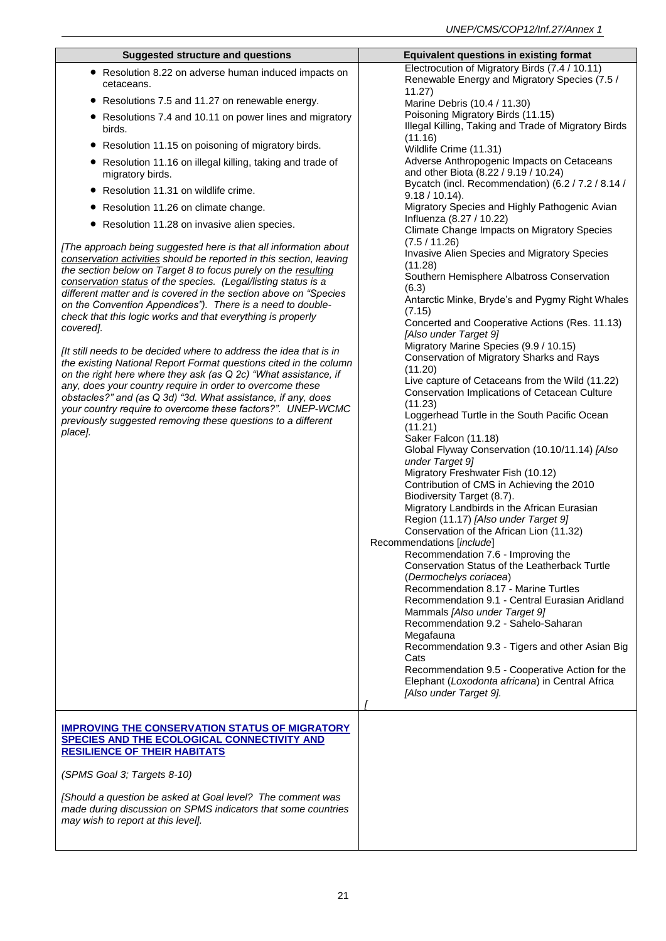| <b>Suggested structure and questions</b>                                                                                              | <b>Equivalent questions in existing format</b>                                                            |
|---------------------------------------------------------------------------------------------------------------------------------------|-----------------------------------------------------------------------------------------------------------|
| • Resolution 8.22 on adverse human induced impacts on<br>cetaceans.                                                                   | Electrocution of Migratory Birds (7.4 / 10.11)<br>Renewable Energy and Migratory Species (7.5 /<br>11.27) |
| • Resolutions 7.5 and 11.27 on renewable energy.                                                                                      | Marine Debris (10.4 / 11.30)                                                                              |
| • Resolutions 7.4 and 10.11 on power lines and migratory<br>birds.                                                                    | Poisoning Migratory Birds (11.15)<br>Illegal Killing, Taking and Trade of Migratory Birds                 |
| Resolution 11.15 on poisoning of migratory birds.                                                                                     | (11.16)                                                                                                   |
| • Resolution 11.16 on illegal killing, taking and trade of                                                                            | Wildlife Crime (11.31)<br>Adverse Anthropogenic Impacts on Cetaceans                                      |
| migratory birds.                                                                                                                      | and other Biota (8.22 / 9.19 / 10.24)<br>Bycatch (incl. Recommendation) (6.2 / 7.2 / 8.14 /               |
| Resolution 11.31 on wildlife crime.                                                                                                   | $9.18 / 10.14$ ).                                                                                         |
| • Resolution 11.26 on climate change.                                                                                                 | Migratory Species and Highly Pathogenic Avian                                                             |
| • Resolution 11.28 on invasive alien species.                                                                                         | Influenza (8.27 / 10.22)<br>Climate Change Impacts on Migratory Species                                   |
| [The approach being suggested here is that all information about                                                                      | (7.5/11.26)<br>Invasive Alien Species and Migratory Species                                               |
| conservation activities should be reported in this section, leaving<br>the section below on Target 8 to focus purely on the resulting | (11.28)                                                                                                   |
| conservation status of the species. (Legal/listing status is a                                                                        | Southern Hemisphere Albatross Conservation                                                                |
| different matter and is covered in the section above on "Species                                                                      | (6.3)                                                                                                     |
| on the Convention Appendices"). There is a need to double-                                                                            | Antarctic Minke, Bryde's and Pygmy Right Whales<br>(7.15)                                                 |
| check that this logic works and that everything is properly<br>covered].                                                              | Concerted and Cooperative Actions (Res. 11.13)                                                            |
|                                                                                                                                       | [Also under Target 9]                                                                                     |
| [It still needs to be decided where to address the idea that is in                                                                    | Migratory Marine Species (9.9 / 10.15)<br>Conservation of Migratory Sharks and Rays                       |
| the existing National Report Format questions cited in the column                                                                     | (11.20)                                                                                                   |
| on the right here where they ask (as Q 2c) "What assistance, if<br>any, does your country require in order to overcome these          | Live capture of Cetaceans from the Wild (11.22)                                                           |
| obstacles?" and (as Q 3d) "3d. What assistance, if any, does                                                                          | <b>Conservation Implications of Cetacean Culture</b>                                                      |
| your country require to overcome these factors?". UNEP-WCMC                                                                           | (11.23)<br>Loggerhead Turtle in the South Pacific Ocean                                                   |
| previously suggested removing these questions to a different                                                                          | (11.21)                                                                                                   |
| place].                                                                                                                               | Saker Falcon (11.18)                                                                                      |
|                                                                                                                                       | Global Flyway Conservation (10.10/11.14) [Also                                                            |
|                                                                                                                                       | under Target 9]<br>Migratory Freshwater Fish (10.12)                                                      |
|                                                                                                                                       | Contribution of CMS in Achieving the 2010                                                                 |
|                                                                                                                                       | Biodiversity Target (8.7).                                                                                |
|                                                                                                                                       | Migratory Landbirds in the African Eurasian<br>Region (11.17) [Also under Target 9]                       |
|                                                                                                                                       | Conservation of the African Lion (11.32)                                                                  |
|                                                                                                                                       | Recommendations [include]                                                                                 |
|                                                                                                                                       | Recommendation 7.6 - Improving the                                                                        |
|                                                                                                                                       | Conservation Status of the Leatherback Turtle<br>(Dermochelys coriacea)                                   |
|                                                                                                                                       | Recommendation 8.17 - Marine Turtles                                                                      |
|                                                                                                                                       | Recommendation 9.1 - Central Eurasian Aridland                                                            |
|                                                                                                                                       | Mammals [Also under Target 9]                                                                             |
|                                                                                                                                       | Recommendation 9.2 - Sahelo-Saharan<br>Megafauna                                                          |
|                                                                                                                                       | Recommendation 9.3 - Tigers and other Asian Big                                                           |
|                                                                                                                                       | Cats                                                                                                      |
|                                                                                                                                       | Recommendation 9.5 - Cooperative Action for the<br>Elephant (Loxodonta africana) in Central Africa        |
|                                                                                                                                       | [Also under Target 9].                                                                                    |
|                                                                                                                                       |                                                                                                           |
|                                                                                                                                       |                                                                                                           |
| <b>IMPROVING THE CONSERVATION STATUS OF MIGRATORY</b><br>SPECIES AND THE ECOLOGICAL CONNECTIVITY AND                                  |                                                                                                           |
| <b>RESILIENCE OF THEIR HABITATS</b>                                                                                                   |                                                                                                           |
| (SPMS Goal 3; Targets 8-10)                                                                                                           |                                                                                                           |
| [Should a question be asked at Goal level? The comment was                                                                            |                                                                                                           |
| made during discussion on SPMS indicators that some countries                                                                         |                                                                                                           |
| may wish to report at this level].                                                                                                    |                                                                                                           |
|                                                                                                                                       |                                                                                                           |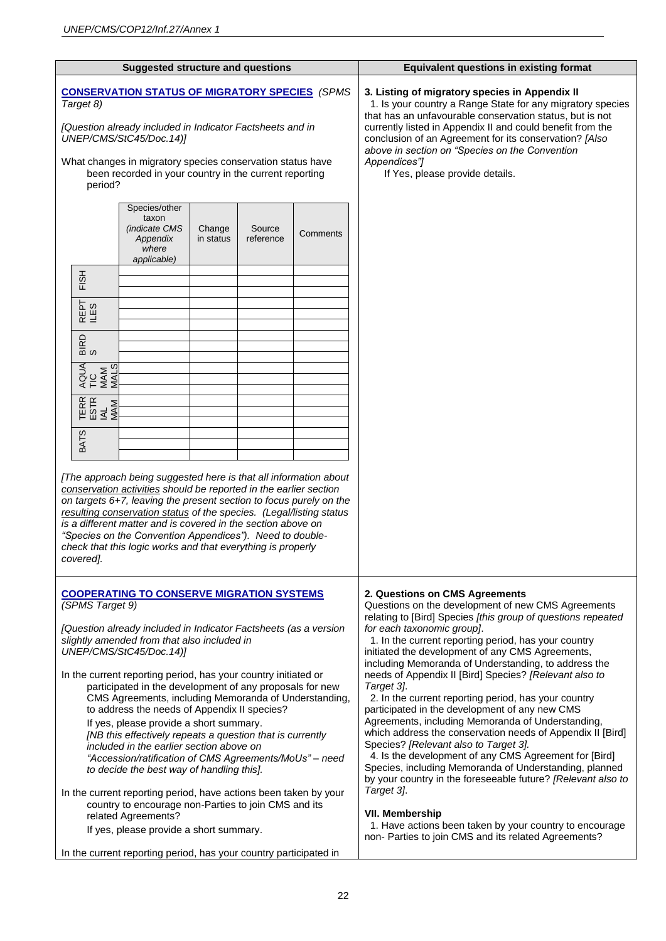| <b>Suggested structure and questions</b>                                                                                                                                                                                                                                                                                                                                                                                                                                                                                                                                                                                                                                                                                                                                                                                                                                                                        |                     |                                                                                                                                                                                                                                                                                                                                                                                                       | <b>Equivalent questions in existing format</b>                                                                                                                                                                                                                                                                                                                                                                                                                                                                                                                                                                                                                                                                                                                                                                                                                                             |
|-----------------------------------------------------------------------------------------------------------------------------------------------------------------------------------------------------------------------------------------------------------------------------------------------------------------------------------------------------------------------------------------------------------------------------------------------------------------------------------------------------------------------------------------------------------------------------------------------------------------------------------------------------------------------------------------------------------------------------------------------------------------------------------------------------------------------------------------------------------------------------------------------------------------|---------------------|-------------------------------------------------------------------------------------------------------------------------------------------------------------------------------------------------------------------------------------------------------------------------------------------------------------------------------------------------------------------------------------------------------|--------------------------------------------------------------------------------------------------------------------------------------------------------------------------------------------------------------------------------------------------------------------------------------------------------------------------------------------------------------------------------------------------------------------------------------------------------------------------------------------------------------------------------------------------------------------------------------------------------------------------------------------------------------------------------------------------------------------------------------------------------------------------------------------------------------------------------------------------------------------------------------------|
| <b>CONSERVATION STATUS OF MIGRATORY SPECIES</b> (SPMS<br>Target 8)<br>[Question already included in Indicator Factsheets and in<br>UNEP/CMS/StC45/Doc.14)]<br>What changes in migratory species conservation status have<br>been recorded in your country in the current reporting                                                                                                                                                                                                                                                                                                                                                                                                                                                                                                                                                                                                                              |                     | 3. Listing of migratory species in Appendix II<br>1. Is your country a Range State for any migratory species<br>that has an unfavourable conservation status, but is not<br>currently listed in Appendix II and could benefit from the<br>conclusion of an Agreement for its conservation? [Also<br>above in section on "Species on the Convention<br>Appendices"]<br>If Yes, please provide details. |                                                                                                                                                                                                                                                                                                                                                                                                                                                                                                                                                                                                                                                                                                                                                                                                                                                                                            |
| period?<br>Species/other<br>taxon<br>(indicate CMS<br>Change<br>Appendix<br>in status<br>where<br>applicable)<br>FISH<br>REPT<br>LES<br>BIRD<br>S<br>AQUA<br>TIC<br><b>MAM</b><br>MALS<br>TERR<br>ESTR<br>MAM<br>MAM<br><b>BATS</b><br>[The approach being suggested here is that all information about<br>conservation activities should be reported in the earlier section<br>on targets 6+7, leaving the present section to focus purely on the<br>resulting conservation status of the species. (Legal/listing status<br>is a different matter and is covered in the section above on<br>"Species on the Convention Appendices"). Need to double-                                                                                                                                                                                                                                                           | Source<br>reference | Comments                                                                                                                                                                                                                                                                                                                                                                                              |                                                                                                                                                                                                                                                                                                                                                                                                                                                                                                                                                                                                                                                                                                                                                                                                                                                                                            |
| covered].<br><b>COOPERATING TO CONSERVE MIGRATION SYSTEMS</b><br>(SPMS Target 9)                                                                                                                                                                                                                                                                                                                                                                                                                                                                                                                                                                                                                                                                                                                                                                                                                                |                     | 2. Questions on CMS Agreements<br>Questions on the development of new CMS Agreements<br>relating to [Bird] Species [this group of questions repeated                                                                                                                                                                                                                                                  |                                                                                                                                                                                                                                                                                                                                                                                                                                                                                                                                                                                                                                                                                                                                                                                                                                                                                            |
| [Question already included in Indicator Factsheets (as a version<br>slightly amended from that also included in<br>UNEP/CMS/StC45/Doc.14)]<br>In the current reporting period, has your country initiated or<br>participated in the development of any proposals for new<br>CMS Agreements, including Memoranda of Understanding,<br>to address the needs of Appendix II species?<br>If yes, please provide a short summary.<br>[NB this effectively repeats a question that is currently<br>included in the earlier section above on<br>"Accession/ratification of CMS Agreements/MoUs" - need<br>to decide the best way of handling this].<br>In the current reporting period, have actions been taken by your<br>country to encourage non-Parties to join CMS and its<br>related Agreements?<br>If yes, please provide a short summary.<br>In the current reporting period, has your country participated in |                     |                                                                                                                                                                                                                                                                                                                                                                                                       | for each taxonomic group].<br>1. In the current reporting period, has your country<br>initiated the development of any CMS Agreements,<br>including Memoranda of Understanding, to address the<br>needs of Appendix II [Bird] Species? [Relevant also to<br>Target 3].<br>2. In the current reporting period, has your country<br>participated in the development of any new CMS<br>Agreements, including Memoranda of Understanding,<br>which address the conservation needs of Appendix II [Bird]<br>Species? [Relevant also to Target 3].<br>4. Is the development of any CMS Agreement for [Bird]<br>Species, including Memoranda of Understanding, planned<br>by your country in the foreseeable future? [Relevant also to<br>Target 3].<br><b>VII. Membership</b><br>1. Have actions been taken by your country to encourage<br>non- Parties to join CMS and its related Agreements? |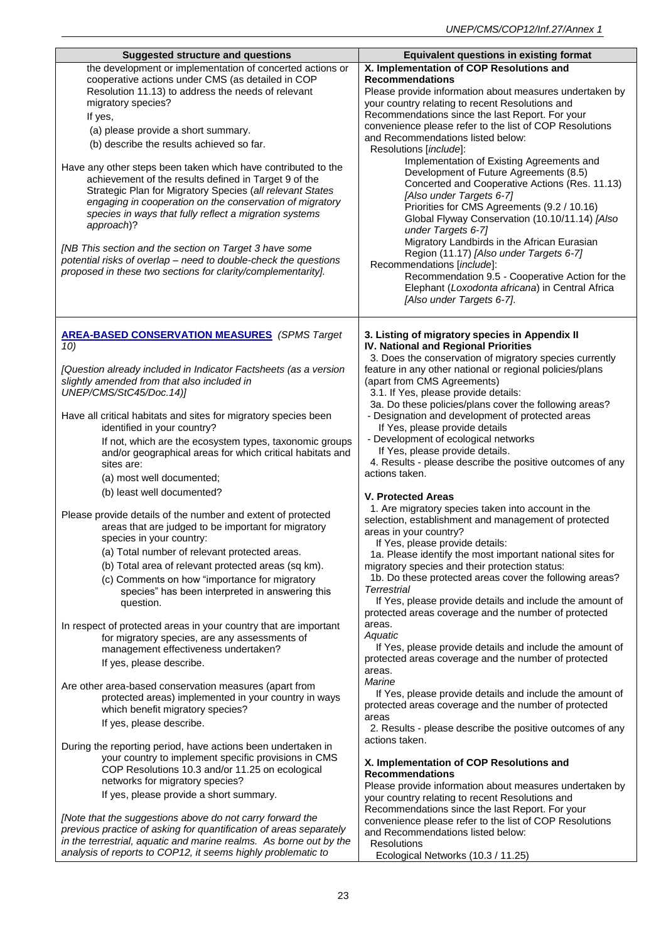| <b>Suggested structure and questions</b>                                                                           | <b>Equivalent questions in existing format</b>                                                             |
|--------------------------------------------------------------------------------------------------------------------|------------------------------------------------------------------------------------------------------------|
| the development or implementation of concerted actions or                                                          | X. Implementation of COP Resolutions and                                                                   |
| cooperative actions under CMS (as detailed in COP                                                                  | <b>Recommendations</b>                                                                                     |
| Resolution 11.13) to address the needs of relevant                                                                 | Please provide information about measures undertaken by                                                    |
| migratory species?                                                                                                 | your country relating to recent Resolutions and                                                            |
| If yes,                                                                                                            | Recommendations since the last Report. For your                                                            |
| (a) please provide a short summary.                                                                                | convenience please refer to the list of COP Resolutions<br>and Recommendations listed below:               |
| (b) describe the results achieved so far.                                                                          | Resolutions [include]:                                                                                     |
|                                                                                                                    | Implementation of Existing Agreements and                                                                  |
| Have any other steps been taken which have contributed to the                                                      | Development of Future Agreements (8.5)                                                                     |
| achievement of the results defined in Target 9 of the<br>Strategic Plan for Migratory Species (all relevant States | Concerted and Cooperative Actions (Res. 11.13)                                                             |
| engaging in cooperation on the conservation of migratory                                                           | [Also under Targets 6-7]                                                                                   |
| species in ways that fully reflect a migration systems                                                             | Priorities for CMS Agreements (9.2 / 10.16)                                                                |
| approach)?                                                                                                         | Global Flyway Conservation (10.10/11.14) [Also<br>under Targets 6-7]                                       |
|                                                                                                                    | Migratory Landbirds in the African Eurasian                                                                |
| [NB This section and the section on Target 3 have some                                                             | Region (11.17) [Also under Targets 6-7]                                                                    |
| potential risks of overlap - need to double-check the questions                                                    | Recommendations [include]:                                                                                 |
| proposed in these two sections for clarity/complementarity].                                                       | Recommendation 9.5 - Cooperative Action for the                                                            |
|                                                                                                                    | Elephant (Loxodonta africana) in Central Africa                                                            |
|                                                                                                                    | [Also under Targets 6-7].                                                                                  |
|                                                                                                                    |                                                                                                            |
| <b>AREA-BASED CONSERVATION MEASURES</b> (SPMS Target                                                               | 3. Listing of migratory species in Appendix II                                                             |
| 10)                                                                                                                | IV. National and Regional Priorities                                                                       |
|                                                                                                                    | 3. Does the conservation of migratory species currently                                                    |
| [Question already included in Indicator Factsheets (as a version<br>slightly amended from that also included in    | feature in any other national or regional policies/plans<br>(apart from CMS Agreements)                    |
| UNEP/CMS/StC45/Doc.14)]                                                                                            | 3.1. If Yes, please provide details:                                                                       |
|                                                                                                                    | 3a. Do these policies/plans cover the following areas?                                                     |
| Have all critical habitats and sites for migratory species been                                                    | - Designation and development of protected areas                                                           |
| identified in your country?                                                                                        | If Yes, please provide details                                                                             |
| If not, which are the ecosystem types, taxonomic groups                                                            | - Development of ecological networks<br>If Yes, please provide details.                                    |
| and/or geographical areas for which critical habitats and<br>sites are:                                            | 4. Results - please describe the positive outcomes of any                                                  |
| (a) most well documented;                                                                                          | actions taken.                                                                                             |
| (b) least well documented?                                                                                         |                                                                                                            |
|                                                                                                                    | <b>V. Protected Areas</b><br>1. Are migratory species taken into account in the                            |
| Please provide details of the number and extent of protected                                                       | selection, establishment and management of protected                                                       |
| areas that are judged to be important for migratory                                                                | areas in your country?                                                                                     |
| species in your country:                                                                                           | If Yes, please provide details:                                                                            |
| (a) Total number of relevant protected areas.                                                                      | 1a. Please identify the most important national sites for                                                  |
| (b) Total area of relevant protected areas (sq km).                                                                | migratory species and their protection status:                                                             |
| (c) Comments on how "importance for migratory                                                                      | 1b. Do these protected areas cover the following areas?<br><b>Terrestrial</b>                              |
| species" has been interpreted in answering this<br>question.                                                       | If Yes, please provide details and include the amount of                                                   |
|                                                                                                                    | protected areas coverage and the number of protected                                                       |
| In respect of protected areas in your country that are important                                                   | areas.                                                                                                     |
| for migratory species, are any assessments of                                                                      | Aquatic                                                                                                    |
| management effectiveness undertaken?                                                                               | If Yes, please provide details and include the amount of                                                   |
| If yes, please describe.                                                                                           | protected areas coverage and the number of protected<br>areas.                                             |
| Are other area-based conservation measures (apart from                                                             | Marine                                                                                                     |
| protected areas) implemented in your country in ways                                                               | If Yes, please provide details and include the amount of                                                   |
| which benefit migratory species?                                                                                   | protected areas coverage and the number of protected                                                       |
| If yes, please describe.                                                                                           | areas                                                                                                      |
|                                                                                                                    | 2. Results - please describe the positive outcomes of any<br>actions taken.                                |
| During the reporting period, have actions been undertaken in                                                       |                                                                                                            |
| your country to implement specific provisions in CMS                                                               | X. Implementation of COP Resolutions and                                                                   |
| COP Resolutions 10.3 and/or 11.25 on ecological<br>networks for migratory species?                                 | <b>Recommendations</b>                                                                                     |
| If yes, please provide a short summary.                                                                            | Please provide information about measures undertaken by                                                    |
|                                                                                                                    | your country relating to recent Resolutions and                                                            |
| [Note that the suggestions above do not carry forward the                                                          | Recommendations since the last Report. For your<br>convenience please refer to the list of COP Resolutions |
| previous practice of asking for quantification of areas separately                                                 | and Recommendations listed below:                                                                          |
| in the terrestrial, aquatic and marine realms. As borne out by the                                                 | <b>Resolutions</b>                                                                                         |
| analysis of reports to COP12, it seems highly problematic to                                                       | Ecological Networks (10.3 / 11.25)                                                                         |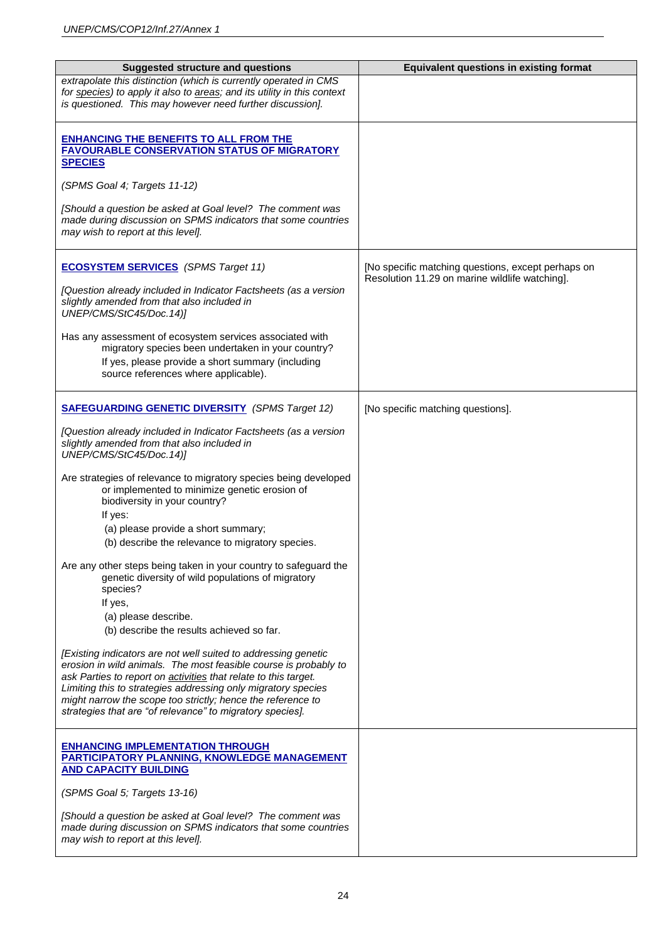| <b>Suggested structure and questions</b>                                                                                                                                                                                                                                                                                                                                                                  | <b>Equivalent questions in existing format</b>                                                       |
|-----------------------------------------------------------------------------------------------------------------------------------------------------------------------------------------------------------------------------------------------------------------------------------------------------------------------------------------------------------------------------------------------------------|------------------------------------------------------------------------------------------------------|
| extrapolate this distinction (which is currently operated in CMS<br>for species) to apply it also to areas; and its utility in this context<br>is questioned. This may however need further discussion].                                                                                                                                                                                                  |                                                                                                      |
| <b>ENHANCING THE BENEFITS TO ALL FROM THE</b><br><b>FAVOURABLE CONSERVATION STATUS OF MIGRATORY</b><br><b>SPECIES</b>                                                                                                                                                                                                                                                                                     |                                                                                                      |
| (SPMS Goal 4; Targets 11-12)                                                                                                                                                                                                                                                                                                                                                                              |                                                                                                      |
| [Should a question be asked at Goal level? The comment was<br>made during discussion on SPMS indicators that some countries<br>may wish to report at this level].                                                                                                                                                                                                                                         |                                                                                                      |
| <b>ECOSYSTEM SERVICES</b> (SPMS Target 11)<br>[Question already included in Indicator Factsheets (as a version<br>slightly amended from that also included in<br>UNEP/CMS/StC45/Doc.14)]                                                                                                                                                                                                                  | [No specific matching questions, except perhaps on<br>Resolution 11.29 on marine wildlife watching]. |
| Has any assessment of ecosystem services associated with<br>migratory species been undertaken in your country?<br>If yes, please provide a short summary (including<br>source references where applicable).                                                                                                                                                                                               |                                                                                                      |
| <b>SAFEGUARDING GENETIC DIVERSITY</b> (SPMS Target 12)                                                                                                                                                                                                                                                                                                                                                    | [No specific matching questions].                                                                    |
| [Question already included in Indicator Factsheets (as a version<br>slightly amended from that also included in<br>UNEP/CMS/StC45/Doc.14)]                                                                                                                                                                                                                                                                |                                                                                                      |
| Are strategies of relevance to migratory species being developed<br>or implemented to minimize genetic erosion of<br>biodiversity in your country?<br>If yes:                                                                                                                                                                                                                                             |                                                                                                      |
| (a) please provide a short summary;<br>(b) describe the relevance to migratory species.                                                                                                                                                                                                                                                                                                                   |                                                                                                      |
| Are any other steps being taken in your country to safeguard the<br>genetic diversity of wild populations of migratory<br>species?<br>If yes,                                                                                                                                                                                                                                                             |                                                                                                      |
| (a) please describe.<br>(b) describe the results achieved so far.                                                                                                                                                                                                                                                                                                                                         |                                                                                                      |
| [Existing indicators are not well suited to addressing genetic<br>erosion in wild animals. The most feasible course is probably to<br>ask Parties to report on <b>activities</b> that relate to this target.<br>Limiting this to strategies addressing only migratory species<br>might narrow the scope too strictly; hence the reference to<br>strategies that are "of relevance" to migratory species]. |                                                                                                      |
| <b>ENHANCING IMPLEMENTATION THROUGH</b><br><b>PARTICIPATORY PLANNING, KNOWLEDGE MANAGEMENT</b><br><b>AND CAPACITY BUILDING</b>                                                                                                                                                                                                                                                                            |                                                                                                      |
| (SPMS Goal 5; Targets 13-16)                                                                                                                                                                                                                                                                                                                                                                              |                                                                                                      |
| [Should a question be asked at Goal level? The comment was<br>made during discussion on SPMS indicators that some countries<br>may wish to report at this level].                                                                                                                                                                                                                                         |                                                                                                      |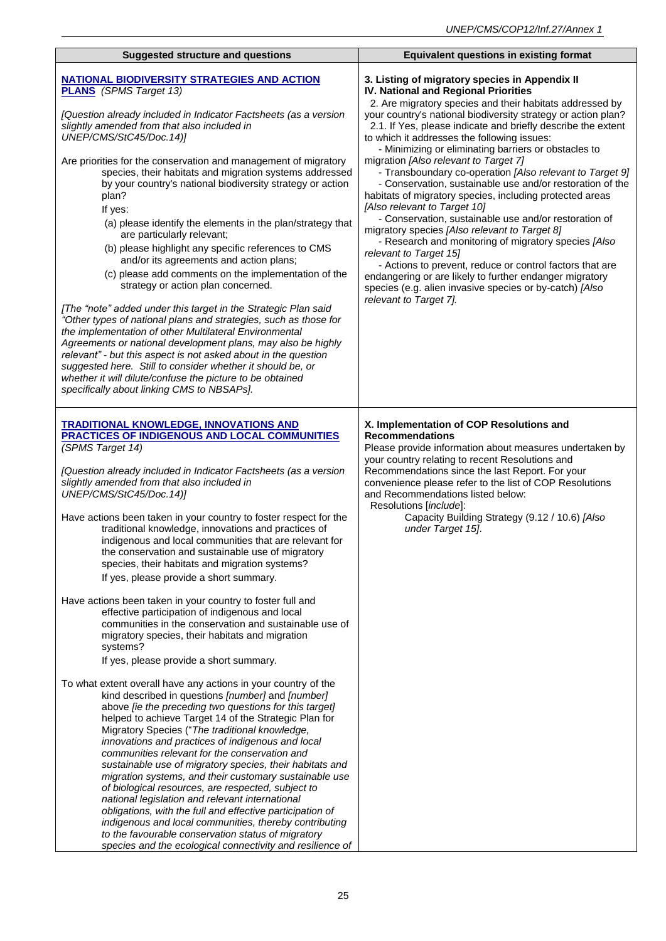| <b>Suggested structure and questions</b>                                                                                                                                                                                                                                                                                                                                                                                                                                                                                                                                                                                                                                                                                                                                                                                                                                                                                                                                                                            | <b>Equivalent questions in existing format</b>                                                                                                                                                                                                                                                                                                                                                                                                                                                                                                                                                                                                                     |
|---------------------------------------------------------------------------------------------------------------------------------------------------------------------------------------------------------------------------------------------------------------------------------------------------------------------------------------------------------------------------------------------------------------------------------------------------------------------------------------------------------------------------------------------------------------------------------------------------------------------------------------------------------------------------------------------------------------------------------------------------------------------------------------------------------------------------------------------------------------------------------------------------------------------------------------------------------------------------------------------------------------------|--------------------------------------------------------------------------------------------------------------------------------------------------------------------------------------------------------------------------------------------------------------------------------------------------------------------------------------------------------------------------------------------------------------------------------------------------------------------------------------------------------------------------------------------------------------------------------------------------------------------------------------------------------------------|
|                                                                                                                                                                                                                                                                                                                                                                                                                                                                                                                                                                                                                                                                                                                                                                                                                                                                                                                                                                                                                     |                                                                                                                                                                                                                                                                                                                                                                                                                                                                                                                                                                                                                                                                    |
| <b>NATIONAL BIODIVERSITY STRATEGIES AND ACTION</b><br><b>PLANS</b> (SPMS Target 13)                                                                                                                                                                                                                                                                                                                                                                                                                                                                                                                                                                                                                                                                                                                                                                                                                                                                                                                                 | 3. Listing of migratory species in Appendix II<br>IV. National and Regional Priorities<br>2. Are migratory species and their habitats addressed by                                                                                                                                                                                                                                                                                                                                                                                                                                                                                                                 |
| [Question already included in Indicator Factsheets (as a version<br>slightly amended from that also included in<br>UNEP/CMS/StC45/Doc.14)]                                                                                                                                                                                                                                                                                                                                                                                                                                                                                                                                                                                                                                                                                                                                                                                                                                                                          | your country's national biodiversity strategy or action plan?<br>2.1. If Yes, please indicate and briefly describe the extent<br>to which it addresses the following issues:<br>- Minimizing or eliminating barriers or obstacles to                                                                                                                                                                                                                                                                                                                                                                                                                               |
| Are priorities for the conservation and management of migratory<br>species, their habitats and migration systems addressed<br>by your country's national biodiversity strategy or action<br>plan?<br>If yes:<br>(a) please identify the elements in the plan/strategy that<br>are particularly relevant;<br>(b) please highlight any specific references to CMS<br>and/or its agreements and action plans;<br>(c) please add comments on the implementation of the<br>strategy or action plan concerned.<br>[The "note" added under this target in the Strategic Plan said<br>"Other types of national plans and strategies, such as those for<br>the implementation of other Multilateral Environmental<br>Agreements or national development plans, may also be highly<br>relevant" - but this aspect is not asked about in the question<br>suggested here. Still to consider whether it should be, or<br>whether it will dilute/confuse the picture to be obtained<br>specifically about linking CMS to NBSAPs]. | migration [Also relevant to Target 7]<br>- Transboundary co-operation [Also relevant to Target 9]<br>- Conservation, sustainable use and/or restoration of the<br>habitats of migratory species, including protected areas<br>[Also relevant to Target 10]<br>- Conservation, sustainable use and/or restoration of<br>migratory species [Also relevant to Target 8]<br>- Research and monitoring of migratory species [Also<br>relevant to Target 15]<br>- Actions to prevent, reduce or control factors that are<br>endangering or are likely to further endanger migratory<br>species (e.g. alien invasive species or by-catch) [Also<br>relevant to Target 7]. |
| <b>TRADITIONAL KNOWLEDGE, INNOVATIONS AND</b><br><b>PRACTICES OF INDIGENOUS AND LOCAL COMMUNITIES</b><br>(SPMS Target 14)<br>[Question already included in Indicator Factsheets (as a version<br>slightly amended from that also included in<br>UNEP/CMS/StC45/Doc.14)]<br>Have actions been taken in your country to foster respect for the<br>traditional knowledge, innovations and practices of<br>indigenous and local communities that are relevant for<br>the conservation and sustainable use of migratory<br>species, their habitats and migration systems?<br>If yes, please provide a short summary.                                                                                                                                                                                                                                                                                                                                                                                                     | X. Implementation of COP Resolutions and<br><b>Recommendations</b><br>Please provide information about measures undertaken by<br>your country relating to recent Resolutions and<br>Recommendations since the last Report. For your<br>convenience please refer to the list of COP Resolutions<br>and Recommendations listed below:<br>Resolutions [include]:<br>Capacity Building Strategy (9.12 / 10.6) [Also<br>under Target 15].                                                                                                                                                                                                                               |
| Have actions been taken in your country to foster full and<br>effective participation of indigenous and local<br>communities in the conservation and sustainable use of<br>migratory species, their habitats and migration<br>systems?<br>If yes, please provide a short summary.                                                                                                                                                                                                                                                                                                                                                                                                                                                                                                                                                                                                                                                                                                                                   |                                                                                                                                                                                                                                                                                                                                                                                                                                                                                                                                                                                                                                                                    |
| To what extent overall have any actions in your country of the<br>kind described in questions [number] and [number]<br>above [ie the preceding two questions for this target]<br>helped to achieve Target 14 of the Strategic Plan for<br>Migratory Species ("The traditional knowledge,<br>innovations and practices of indigenous and local<br>communities relevant for the conservation and<br>sustainable use of migratory species, their habitats and<br>migration systems, and their customary sustainable use<br>of biological resources, are respected, subject to<br>national legislation and relevant international<br>obligations, with the full and effective participation of<br>indigenous and local communities, thereby contributing<br>to the favourable conservation status of migratory<br>species and the ecological connectivity and resilience of                                                                                                                                             |                                                                                                                                                                                                                                                                                                                                                                                                                                                                                                                                                                                                                                                                    |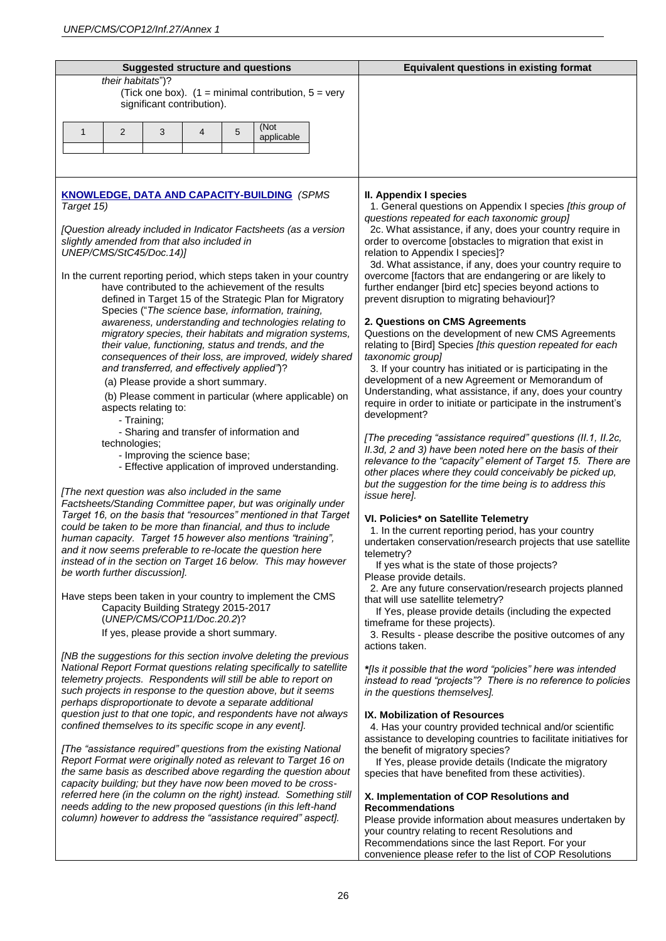| <b>Suggested structure and questions</b>                                                                                           | <b>Equivalent questions in existing format</b>                                                                            |
|------------------------------------------------------------------------------------------------------------------------------------|---------------------------------------------------------------------------------------------------------------------------|
| their habitats")?                                                                                                                  |                                                                                                                           |
| (Tick one box). $(1 = \text{minimal contribution}, 5 = \text{very})$                                                               |                                                                                                                           |
| significant contribution).                                                                                                         |                                                                                                                           |
| (Not                                                                                                                               |                                                                                                                           |
| $\mathbf{1}$<br>2<br>3<br>$\overline{4}$<br>5<br>applicable                                                                        |                                                                                                                           |
|                                                                                                                                    |                                                                                                                           |
|                                                                                                                                    |                                                                                                                           |
|                                                                                                                                    |                                                                                                                           |
| KNOWLEDGE, DATA AND CAPACITY-BUILDING (SPMS                                                                                        | II. Appendix I species                                                                                                    |
| Target 15)                                                                                                                         | 1. General questions on Appendix I species [this group of                                                                 |
|                                                                                                                                    | questions repeated for each taxonomic group]                                                                              |
| [Question already included in Indicator Factsheets (as a version                                                                   | 2c. What assistance, if any, does your country require in                                                                 |
| slightly amended from that also included in                                                                                        | order to overcome [obstacles to migration that exist in                                                                   |
| UNEP/CMS/StC45/Doc.14)]                                                                                                            | relation to Appendix I species]?<br>3d. What assistance, if any, does your country require to                             |
| In the current reporting period, which steps taken in your country                                                                 | overcome [factors that are endangering or are likely to                                                                   |
| have contributed to the achievement of the results                                                                                 | further endanger [bird etc] species beyond actions to                                                                     |
| defined in Target 15 of the Strategic Plan for Migratory                                                                           | prevent disruption to migrating behaviour]?                                                                               |
| Species ("The science base, information, training,                                                                                 |                                                                                                                           |
| awareness, understanding and technologies relating to<br>migratory species, their habitats and migration systems,                  | 2. Questions on CMS Agreements<br>Questions on the development of new CMS Agreements                                      |
| their value, functioning, status and trends, and the                                                                               | relating to [Bird] Species [this question repeated for each                                                               |
| consequences of their loss, are improved, widely shared                                                                            | taxonomic group]                                                                                                          |
| and transferred, and effectively applied")?                                                                                        | 3. If your country has initiated or is participating in the                                                               |
| (a) Please provide a short summary.                                                                                                | development of a new Agreement or Memorandum of<br>Understanding, what assistance, if any, does your country              |
| (b) Please comment in particular (where applicable) on                                                                             | require in order to initiate or participate in the instrument's                                                           |
| aspects relating to:<br>- Training;                                                                                                | development?                                                                                                              |
| - Sharing and transfer of information and                                                                                          |                                                                                                                           |
| technologies;                                                                                                                      | [The preceding "assistance required" questions (II.1, II.2c,                                                              |
| - Improving the science base;                                                                                                      | II.3d, 2 and 3) have been noted here on the basis of their<br>relevance to the "capacity" element of Target 15. There are |
| - Effective application of improved understanding.                                                                                 | other places where they could conceivably be picked up,                                                                   |
|                                                                                                                                    | but the suggestion for the time being is to address this                                                                  |
| [The next question was also included in the same<br>Factsheets/Standing Committee paper, but was originally under                  | issue here].                                                                                                              |
| Target 16, on the basis that "resources" mentioned in that Target                                                                  | VI. Policies* on Satellite Telemetry                                                                                      |
| could be taken to be more than financial, and thus to include                                                                      | 1. In the current reporting period, has your country                                                                      |
| human capacity. Target 15 however also mentions "training",                                                                        | undertaken conservation/research projects that use satellite                                                              |
| and it now seems preferable to re-locate the question here<br>instead of in the section on Target 16 below. This may however       | telemetry?                                                                                                                |
| be worth further discussion].                                                                                                      | If yes what is the state of those projects?                                                                               |
|                                                                                                                                    | Please provide details.<br>2. Are any future conservation/research projects planned                                       |
| Have steps been taken in your country to implement the CMS                                                                         | that will use satellite telemetry?                                                                                        |
| Capacity Building Strategy 2015-2017<br>(UNEP/CMS/COP11/Doc.20.2)?                                                                 | If Yes, please provide details (including the expected                                                                    |
| If yes, please provide a short summary.                                                                                            | timeframe for these projects).                                                                                            |
|                                                                                                                                    | 3. Results - please describe the positive outcomes of any<br>actions taken.                                               |
| [NB the suggestions for this section involve deleting the previous                                                                 |                                                                                                                           |
| National Report Format questions relating specifically to satellite                                                                | *[Is it possible that the word "policies" here was intended                                                               |
| telemetry projects. Respondents will still be able to report on                                                                    | instead to read "projects"? There is no reference to policies                                                             |
| such projects in response to the question above, but it seems<br>perhaps disproportionate to devote a separate additional          | in the questions themselves].                                                                                             |
| question just to that one topic, and respondents have not always                                                                   | IX. Mobilization of Resources                                                                                             |
| confined themselves to its specific scope in any event].                                                                           | 4. Has your country provided technical and/or scientific                                                                  |
|                                                                                                                                    | assistance to developing countries to facilitate initiatives for                                                          |
| [The "assistance required" questions from the existing National<br>Report Format were originally noted as relevant to Target 16 on | the benefit of migratory species?<br>If Yes, please provide details (Indicate the migratory                               |
| the same basis as described above regarding the question about                                                                     | species that have benefited from these activities).                                                                       |
| capacity building; but they have now been moved to be cross-                                                                       |                                                                                                                           |
| referred here (in the column on the right) instead. Something still                                                                | X. Implementation of COP Resolutions and                                                                                  |
| needs adding to the new proposed questions (in this left-hand<br>column) however to address the "assistance required" aspect].     | <b>Recommendations</b>                                                                                                    |
|                                                                                                                                    | Please provide information about measures undertaken by<br>your country relating to recent Resolutions and                |
|                                                                                                                                    | Recommendations since the last Report. For your                                                                           |
|                                                                                                                                    | convenience please refer to the list of COP Resolutions                                                                   |
|                                                                                                                                    |                                                                                                                           |